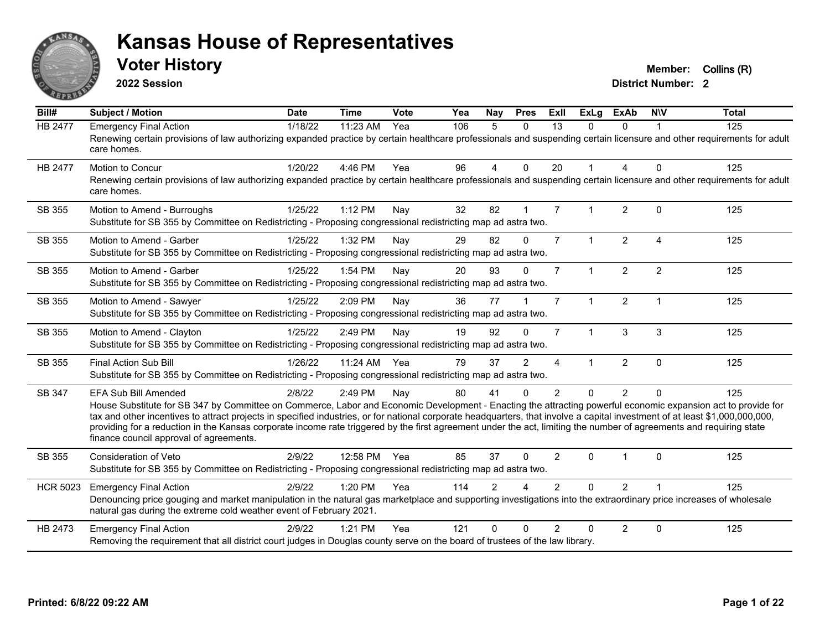

**2022 Session**

**Voter History Member:** Collins (R)

| $\overline{BiII#}$ | Subject / Motion                                                                                                                                                                                                                                                                                                                                                                                                                                                                                                                                                                                   | <b>Date</b> | <b>Time</b> | Vote | Yea | Nay            | <b>Pres</b>  | ExII           | <b>ExLg</b>          | <b>ExAb</b>    | <b>NIV</b>     | <b>Total</b> |
|--------------------|----------------------------------------------------------------------------------------------------------------------------------------------------------------------------------------------------------------------------------------------------------------------------------------------------------------------------------------------------------------------------------------------------------------------------------------------------------------------------------------------------------------------------------------------------------------------------------------------------|-------------|-------------|------|-----|----------------|--------------|----------------|----------------------|----------------|----------------|--------------|
| <b>HB 2477</b>     | <b>Emergency Final Action</b><br>Renewing certain provisions of law authorizing expanded practice by certain healthcare professionals and suspending certain licensure and other requirements for adult<br>care homes.                                                                                                                                                                                                                                                                                                                                                                             | 1/18/22     | 11:23 AM    | Yea  | 106 | 5              | $\Omega$     | 13             | $\Omega$             | $\Omega$       |                | 125          |
| HB 2477            | <b>Motion to Concur</b><br>Renewing certain provisions of law authorizing expanded practice by certain healthcare professionals and suspending certain licensure and other requirements for adult<br>care homes.                                                                                                                                                                                                                                                                                                                                                                                   | 1/20/22     | 4:46 PM     | Yea  | 96  | 4              | $\mathbf{0}$ | 20             | $\mathbf 1$          | 4              | $\Omega$       | 125          |
| SB 355             | Motion to Amend - Burroughs<br>Substitute for SB 355 by Committee on Redistricting - Proposing congressional redistricting map ad astra two.                                                                                                                                                                                                                                                                                                                                                                                                                                                       | 1/25/22     | 1:12 PM     | Nay  | 32  | 82             |              | $\overline{7}$ |                      | $\overline{2}$ | $\Omega$       | 125          |
| SB 355             | Motion to Amend - Garber<br>Substitute for SB 355 by Committee on Redistricting - Proposing congressional redistricting map ad astra two.                                                                                                                                                                                                                                                                                                                                                                                                                                                          | 1/25/22     | 1:32 PM     | Nay  | 29  | 82             | $\mathbf{0}$ | $\overline{7}$ | $\mathbf{1}$         | 2              | $\overline{4}$ | 125          |
| SB 355             | Motion to Amend - Garber<br>Substitute for SB 355 by Committee on Redistricting - Proposing congressional redistricting map ad astra two.                                                                                                                                                                                                                                                                                                                                                                                                                                                          | 1/25/22     | 1:54 PM     | Nay  | 20  | 93             | $\Omega$     | $\overline{7}$ | $\mathbf{1}$         | $\overline{2}$ | 2              | 125          |
| SB 355             | Motion to Amend - Sawyer<br>Substitute for SB 355 by Committee on Redistricting - Proposing congressional redistricting map ad astra two.                                                                                                                                                                                                                                                                                                                                                                                                                                                          | 1/25/22     | 2:09 PM     | Nay  | 36  | 77             |              | $\overline{7}$ | $\blacktriangleleft$ | $\overline{2}$ | $\overline{1}$ | 125          |
| SB 355             | Motion to Amend - Clayton<br>Substitute for SB 355 by Committee on Redistricting - Proposing congressional redistricting map ad astra two.                                                                                                                                                                                                                                                                                                                                                                                                                                                         | 1/25/22     | 2:49 PM     | Nay  | 19  | 92             | $\Omega$     | $\overline{7}$ | $\mathbf 1$          | 3              | 3              | 125          |
| SB 355             | <b>Final Action Sub Bill</b><br>Substitute for SB 355 by Committee on Redistricting - Proposing congressional redistricting map ad astra two.                                                                                                                                                                                                                                                                                                                                                                                                                                                      | 1/26/22     | 11:24 AM    | Yea  | 79  | 37             | 2            | 4              |                      | $\overline{2}$ | $\mathbf{0}$   | 125          |
| SB 347             | <b>EFA Sub Bill Amended</b><br>House Substitute for SB 347 by Committee on Commerce, Labor and Economic Development - Enacting the attracting powerful economic expansion act to provide for<br>tax and other incentives to attract projects in specified industries, or for national corporate headquarters, that involve a capital investment of at least \$1,000,000,000,000,<br>providing for a reduction in the Kansas corporate income rate triggered by the first agreement under the act, limiting the number of agreements and requiring state<br>finance council approval of agreements. | 2/8/22      | 2:49 PM     | Nay  | 80  | 41             | $\Omega$     | $\overline{2}$ | $\Omega$             | $\overline{2}$ | $\Omega$       | 125          |
| SB 355             | <b>Consideration of Veto</b><br>Substitute for SB 355 by Committee on Redistricting - Proposing congressional redistricting map ad astra two.                                                                                                                                                                                                                                                                                                                                                                                                                                                      | 2/9/22      | 12:58 PM    | Yea  | 85  | 37             | $\Omega$     | $\overline{2}$ | $\Omega$             |                | $\mathbf{0}$   | 125          |
| <b>HCR 5023</b>    | <b>Emergency Final Action</b><br>Denouncing price gouging and market manipulation in the natural gas marketplace and supporting investigations into the extraordinary price increases of wholesale<br>natural gas during the extreme cold weather event of February 2021.                                                                                                                                                                                                                                                                                                                          | 2/9/22      | 1:20 PM     | Yea  | 114 | $\mathfrak{p}$ |              | $\mathcal{P}$  | $\Omega$             | $\overline{2}$ |                | 125          |
| HB 2473            | <b>Emergency Final Action</b><br>Removing the requirement that all district court judges in Douglas county serve on the board of trustees of the law library.                                                                                                                                                                                                                                                                                                                                                                                                                                      | 2/9/22      | 1:21 PM     | Yea  | 121 | $\Omega$       | $\Omega$     | $\mathcal{P}$  | $\Omega$             | $\overline{2}$ | $\Omega$       | 125          |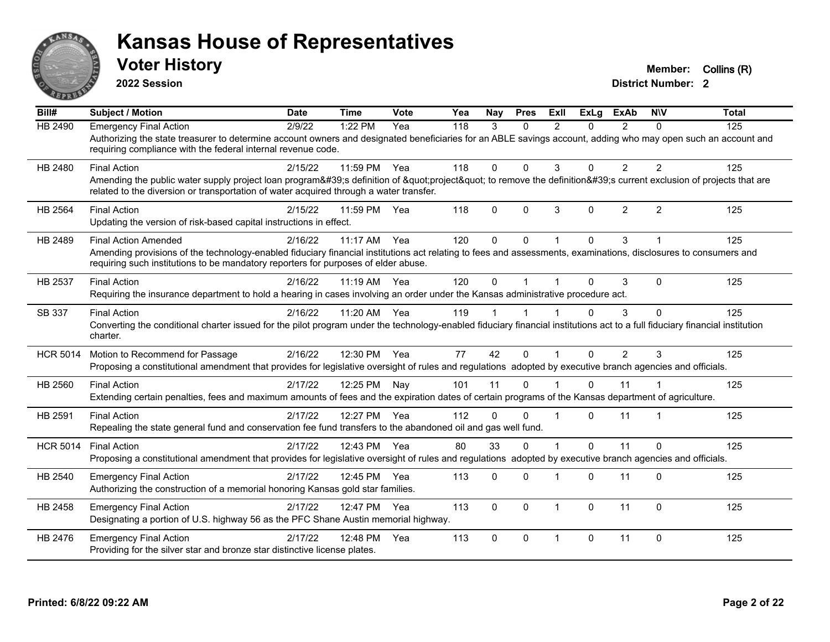

**2022 Session**

**Voter History Member:** Collins (R)

| Bill#           | <b>Subject / Motion</b>                                                                                                                                                                                                                                                              | Date    | <b>Time</b> | <b>Vote</b> | Yea | <b>Nay</b> | <b>Pres</b> | ExIl           | <b>ExLg</b> | <b>ExAb</b>    | <b>NIV</b>     | <b>Total</b> |
|-----------------|--------------------------------------------------------------------------------------------------------------------------------------------------------------------------------------------------------------------------------------------------------------------------------------|---------|-------------|-------------|-----|------------|-------------|----------------|-------------|----------------|----------------|--------------|
| <b>HB 2490</b>  | <b>Emergency Final Action</b><br>Authorizing the state treasurer to determine account owners and designated beneficiaries for an ABLE savings account, adding who may open such an account and<br>requiring compliance with the federal internal revenue code.                       | 2/9/22  | 1:22 PM     | Yea         | 118 | 3          | $\Omega$    | $\mathcal{P}$  | $\Omega$    | $\mathcal{P}$  | $\Omega$       | 125          |
| HB 2480         | <b>Final Action</b><br>Amending the public water supply project loan program's definition of "project" to remove the definition's current exclusion of projects that are<br>related to the diversion or transportation of water acquired through a water transfer.                   | 2/15/22 | 11:59 PM    | Yea         | 118 | 0          | $\Omega$    | 3              | $\Omega$    | $\overline{2}$ | $\overline{2}$ | 125          |
| HB 2564         | <b>Final Action</b><br>Updating the version of risk-based capital instructions in effect.                                                                                                                                                                                            | 2/15/22 | 11:59 PM    | Yea         | 118 | 0          | $\Omega$    | 3              | $\Omega$    | $\overline{2}$ | 2              | 125          |
| HB 2489         | <b>Final Action Amended</b><br>Amending provisions of the technology-enabled fiduciary financial institutions act relating to fees and assessments, examinations, disclosures to consumers and<br>requiring such institutions to be mandatory reporters for purposes of elder abuse. | 2/16/22 | $11:17$ AM  | Yea         | 120 | 0          | $\Omega$    |                | $\Omega$    | 3              |                | 125          |
| HB 2537         | <b>Final Action</b><br>Requiring the insurance department to hold a hearing in cases involving an order under the Kansas administrative procedure act.                                                                                                                               | 2/16/22 | 11:19 AM    | Yea         | 120 | 0          |             |                | $\Omega$    | 3              | $\Omega$       | 125          |
| SB 337          | <b>Final Action</b><br>Converting the conditional charter issued for the pilot program under the technology-enabled fiduciary financial institutions act to a full fiduciary financial institution<br>charter.                                                                       | 2/16/22 | 11:20 AM    | Yea         | 119 |            |             |                | 0           | 3              | $\Omega$       | 125          |
| <b>HCR 5014</b> | Motion to Recommend for Passage<br>Proposing a constitutional amendment that provides for legislative oversight of rules and regulations adopted by executive branch agencies and officials.                                                                                         | 2/16/22 | 12:30 PM    | Yea         | 77  | 42         | $\Omega$    |                | $\Omega$    | $\mathcal{P}$  | 3              | 125          |
| HB 2560         | <b>Final Action</b><br>Extending certain penalties, fees and maximum amounts of fees and the expiration dates of certain programs of the Kansas department of agriculture.                                                                                                           | 2/17/22 | 12:25 PM    | Nay         | 101 | 11         | 0           |                | $\Omega$    | 11             |                | 125          |
| HB 2591         | <b>Final Action</b><br>Repealing the state general fund and conservation fee fund transfers to the abandoned oil and gas well fund.                                                                                                                                                  | 2/17/22 | 12:27 PM    | Yea         | 112 | $\Omega$   | $\Omega$    |                | $\Omega$    | 11             | -1             | 125          |
| <b>HCR 5014</b> | <b>Final Action</b><br>Proposing a constitutional amendment that provides for legislative oversight of rules and regulations adopted by executive branch agencies and officials.                                                                                                     | 2/17/22 | 12:43 PM    | Yea         | 80  | 33         | $\Omega$    |                | $\Omega$    | 11             | $\Omega$       | 125          |
| HB 2540         | <b>Emergency Final Action</b><br>Authorizing the construction of a memorial honoring Kansas gold star families.                                                                                                                                                                      | 2/17/22 | 12:45 PM    | Yea         | 113 | 0          | $\Omega$    |                | $\Omega$    | 11             | $\Omega$       | 125          |
| HB 2458         | <b>Emergency Final Action</b><br>Designating a portion of U.S. highway 56 as the PFC Shane Austin memorial highway.                                                                                                                                                                  | 2/17/22 | 12:47 PM    | Yea         | 113 | 0          | $\Omega$    | -1             | $\Omega$    | 11             | $\Omega$       | 125          |
| HB 2476         | <b>Emergency Final Action</b><br>Providing for the silver star and bronze star distinctive license plates.                                                                                                                                                                           | 2/17/22 | 12:48 PM    | Yea         | 113 | 0          | $\Omega$    | $\overline{1}$ | $\Omega$    | 11             | $\Omega$       | 125          |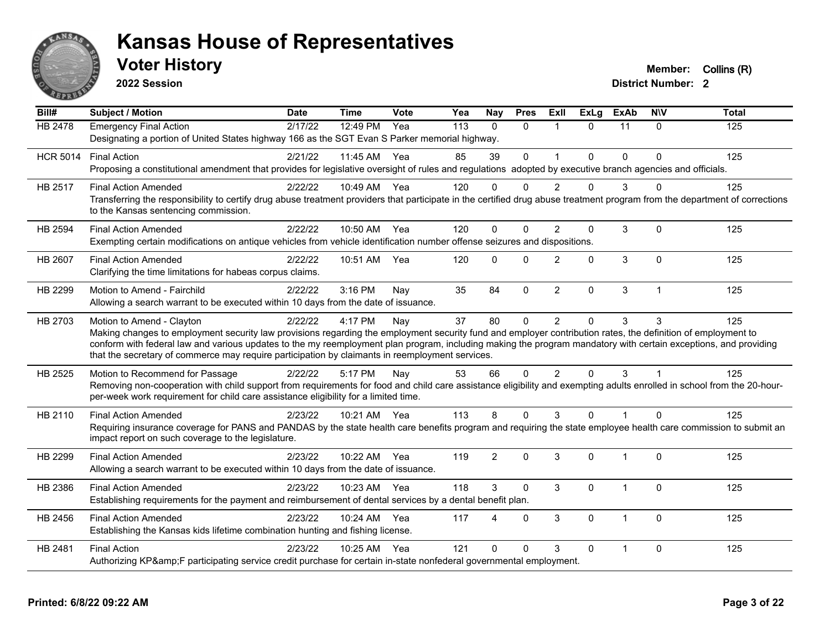

**2022 Session**

**Voter History Member:** Collins (R)

| Bill#           | <b>Subject / Motion</b>                                                                                                                                                                                                                                                                                                         | <b>Date</b> | <b>Time</b>  | Vote | Yea | Nay            | <b>Pres</b>  | Exll           | <b>ExLg</b>  | <b>ExAb</b>  | <b>NIV</b>     | <b>Total</b> |  |
|-----------------|---------------------------------------------------------------------------------------------------------------------------------------------------------------------------------------------------------------------------------------------------------------------------------------------------------------------------------|-------------|--------------|------|-----|----------------|--------------|----------------|--------------|--------------|----------------|--------------|--|
| HB 2478         | <b>Emergency Final Action</b>                                                                                                                                                                                                                                                                                                   | 2/17/22     | 12:49 PM     | Yea  | 113 | $\Omega$       | $\mathbf{0}$ | $\mathbf{1}$   | $\Omega$     | 11           | $\mathbf{0}$   | 125          |  |
|                 | Designating a portion of United States highway 166 as the SGT Evan S Parker memorial highway.                                                                                                                                                                                                                                   |             |              |      |     |                |              |                |              |              |                |              |  |
| <b>HCR 5014</b> | <b>Final Action</b>                                                                                                                                                                                                                                                                                                             | 2/21/22     | 11:45 AM Yea |      | 85  | 39             | $\mathbf 0$  | 1              | $\Omega$     | $\Omega$     | $\Omega$       | 125          |  |
|                 | Proposing a constitutional amendment that provides for legislative oversight of rules and regulations adopted by executive branch agencies and officials.                                                                                                                                                                       |             |              |      |     |                |              |                |              |              |                |              |  |
| HB 2517         | <b>Final Action Amended</b>                                                                                                                                                                                                                                                                                                     | 2/22/22     | 10:49 AM Yea |      | 120 | $\Omega$       | $\Omega$     | $\mathcal{P}$  | $\Omega$     | 3            | U              | 125          |  |
|                 | Transferring the responsibility to certify drug abuse treatment providers that participate in the certified drug abuse treatment program from the department of corrections<br>to the Kansas sentencing commission.                                                                                                             |             |              |      |     |                |              |                |              |              |                |              |  |
| <b>HB 2594</b>  | <b>Final Action Amended</b>                                                                                                                                                                                                                                                                                                     | 2/22/22     | 10:50 AM Yea |      | 120 | $\Omega$       | $\Omega$     | $\overline{2}$ | $\mathbf 0$  | 3            | $\Omega$       | 125          |  |
|                 | Exempting certain modifications on antique vehicles from vehicle identification number offense seizures and dispositions.                                                                                                                                                                                                       |             |              |      |     |                |              |                |              |              |                |              |  |
| HB 2607         | <b>Final Action Amended</b>                                                                                                                                                                                                                                                                                                     | 2/22/22     | 10:51 AM     | Yea  | 120 | $\Omega$       | $\Omega$     | $\overline{2}$ | $\mathbf{0}$ | 3            | $\Omega$       | 125          |  |
|                 | Clarifying the time limitations for habeas corpus claims.                                                                                                                                                                                                                                                                       |             |              |      |     |                |              |                |              |              |                |              |  |
| HB 2299         | Motion to Amend - Fairchild                                                                                                                                                                                                                                                                                                     | 2/22/22     | 3:16 PM      | Nay  | 35  | 84             | $\mathbf 0$  | $\overline{2}$ | $\mathbf 0$  | 3            | $\overline{1}$ | 125          |  |
|                 | Allowing a search warrant to be executed within 10 days from the date of issuance.                                                                                                                                                                                                                                              |             |              |      |     |                |              |                |              |              |                |              |  |
| HB 2703         | Motion to Amend - Clayton                                                                                                                                                                                                                                                                                                       | 2/22/22     | 4:17 PM      | Nay  | 37  | 80             | $\mathbf{0}$ | $\overline{2}$ | 0            | 3            | 3              | 125          |  |
|                 | Making changes to employment security law provisions regarding the employment security fund and employer contribution rates, the definition of employment to<br>conform with federal law and various updates to the my reemployment plan program, including making the program mandatory with certain exceptions, and providing |             |              |      |     |                |              |                |              |              |                |              |  |
|                 | that the secretary of commerce may require participation by claimants in reemployment services.                                                                                                                                                                                                                                 |             |              |      |     |                |              |                |              |              |                |              |  |
| HB 2525         | Motion to Recommend for Passage                                                                                                                                                                                                                                                                                                 | 2/22/22     | 5:17 PM      | Nay  | 53  | 66             | $\Omega$     | $\overline{2}$ | $\Omega$     | 3            |                | 125          |  |
|                 | Removing non-cooperation with child support from requirements for food and child care assistance eligibility and exempting adults enrolled in school from the 20-hour-                                                                                                                                                          |             |              |      |     |                |              |                |              |              |                |              |  |
|                 | per-week work requirement for child care assistance eligibility for a limited time.                                                                                                                                                                                                                                             |             |              |      |     |                |              |                |              |              |                |              |  |
| HB 2110         | <b>Final Action Amended</b>                                                                                                                                                                                                                                                                                                     | 2/23/22     | 10:21 AM Yea |      | 113 | 8              | $\Omega$     | 3              | $\Omega$     |              | $\Omega$       | 125          |  |
|                 | Requiring insurance coverage for PANS and PANDAS by the state health care benefits program and requiring the state employee health care commission to submit an                                                                                                                                                                 |             |              |      |     |                |              |                |              |              |                |              |  |
|                 | impact report on such coverage to the legislature.                                                                                                                                                                                                                                                                              |             |              |      |     |                |              |                |              |              |                |              |  |
| HB 2299         | <b>Final Action Amended</b>                                                                                                                                                                                                                                                                                                     | 2/23/22     | 10:22 AM     | Yea  | 119 | $\overline{2}$ | $\mathbf{0}$ | 3              | $\Omega$     | $\mathbf 1$  | $\Omega$       | 125          |  |
|                 | Allowing a search warrant to be executed within 10 days from the date of issuance.                                                                                                                                                                                                                                              |             |              |      |     |                |              |                |              |              |                |              |  |
| HB 2386         | <b>Final Action Amended</b>                                                                                                                                                                                                                                                                                                     | 2/23/22     | 10:23 AM     | Yea  | 118 | 3              | $\mathbf{0}$ | 3              | 0            | 1            | $\mathbf 0$    | 125          |  |
|                 | Establishing requirements for the payment and reimbursement of dental services by a dental benefit plan.                                                                                                                                                                                                                        |             |              |      |     |                |              |                |              |              |                |              |  |
| HB 2456         | <b>Final Action Amended</b>                                                                                                                                                                                                                                                                                                     | 2/23/22     | 10:24 AM     | Yea  | 117 | 4              | $\Omega$     | 3              | $\Omega$     | $\mathbf{1}$ | $\Omega$       | 125          |  |
|                 | Establishing the Kansas kids lifetime combination hunting and fishing license.                                                                                                                                                                                                                                                  |             |              |      |     |                |              |                |              |              |                |              |  |
| HB 2481         | <b>Final Action</b>                                                                                                                                                                                                                                                                                                             | 2/23/22     | 10:25 AM     | Yea  | 121 | $\Omega$       | $\Omega$     | 3              | 0            |              | $\Omega$       | 125          |  |
|                 | Authorizing KP&F participating service credit purchase for certain in-state nonfederal governmental employment.                                                                                                                                                                                                                 |             |              |      |     |                |              |                |              |              |                |              |  |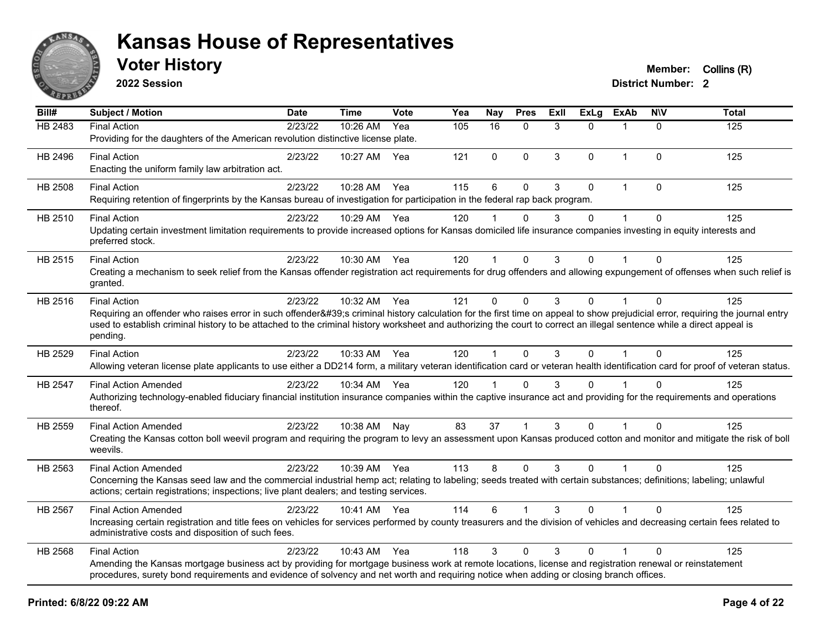

**2022 Session**

**Voter History Member: Collins (R)** 

|  |  |  | <b>District Number: 2</b> |  |
|--|--|--|---------------------------|--|
|  |  |  | -----                     |  |

| Bill#          | <b>Subject / Motion</b>                                                                                                                                                                                                                                                                                                                                         | <b>Date</b> | <b>Time</b>  | <b>Vote</b> | Yea | <b>Nay</b>      | <b>Pres</b>  | ExII | ExLg         | ExAb           | <b>NIV</b>   | <b>Total</b> |
|----------------|-----------------------------------------------------------------------------------------------------------------------------------------------------------------------------------------------------------------------------------------------------------------------------------------------------------------------------------------------------------------|-------------|--------------|-------------|-----|-----------------|--------------|------|--------------|----------------|--------------|--------------|
| HB 2483        | <b>Final Action</b>                                                                                                                                                                                                                                                                                                                                             | 2/23/22     | 10:26 AM     | Yea         | 105 | $\overline{16}$ | $\Omega$     | 3    | $\Omega$     | $\mathbf 1$    | $\Omega$     | 125          |
|                | Providing for the daughters of the American revolution distinctive license plate.                                                                                                                                                                                                                                                                               |             |              |             |     |                 |              |      |              |                |              |              |
| HB 2496        | <b>Final Action</b>                                                                                                                                                                                                                                                                                                                                             | 2/23/22     | 10:27 AM Yea |             | 121 | $\mathbf 0$     | $\mathbf{0}$ | 3    | $\Omega$     | $\overline{1}$ | $\mathbf{0}$ | 125          |
|                | Enacting the uniform family law arbitration act.                                                                                                                                                                                                                                                                                                                |             |              |             |     |                 |              |      |              |                |              |              |
| <b>HB 2508</b> | <b>Final Action</b>                                                                                                                                                                                                                                                                                                                                             | 2/23/22     | 10:28 AM     | Yea         | 115 | 6               | $\mathbf 0$  | 3    | 0            | $\mathbf 1$    | $\mathbf 0$  | 125          |
|                | Requiring retention of fingerprints by the Kansas bureau of investigation for participation in the federal rap back program.                                                                                                                                                                                                                                    |             |              |             |     |                 |              |      |              |                |              |              |
| HB 2510        | <b>Final Action</b>                                                                                                                                                                                                                                                                                                                                             | 2/23/22     | 10:29 AM Yea |             | 120 |                 |              | 3    | $\Omega$     | $\overline{1}$ | $\Omega$     | 125          |
|                | Updating certain investment limitation requirements to provide increased options for Kansas domiciled life insurance companies investing in equity interests and<br>preferred stock.                                                                                                                                                                            |             |              |             |     |                 |              |      |              |                |              |              |
| HB 2515        | <b>Final Action</b>                                                                                                                                                                                                                                                                                                                                             | 2/23/22     | 10:30 AM Yea |             | 120 | $\mathbf{1}$    | $\Omega$     | 3    | $\Omega$     |                | $\Omega$     | 125          |
|                | Creating a mechanism to seek relief from the Kansas offender registration act requirements for drug offenders and allowing expungement of offenses when such relief is<br>granted.                                                                                                                                                                              |             |              |             |     |                 |              |      |              |                |              |              |
| HB 2516        | <b>Final Action</b>                                                                                                                                                                                                                                                                                                                                             | 2/23/22     | 10:32 AM     | Yea         | 121 | $\mathbf{0}$    | $\Omega$     | 3    | $\Omega$     |                | $\Omega$     | 125          |
|                | Requiring an offender who raises error in such offender's criminal history calculation for the first time on appeal to show prejudicial error, requiring the journal entry<br>used to establish criminal history to be attached to the criminal history worksheet and authorizing the court to correct an illegal sentence while a direct appeal is<br>pending. |             |              |             |     |                 |              |      |              |                |              |              |
| HB 2529        | <b>Final Action</b><br>Allowing veteran license plate applicants to use either a DD214 form, a military veteran identification card or veteran health identification card for proof of veteran status.                                                                                                                                                          | 2/23/22     | 10:33 AM Yea |             | 120 | $\mathbf{1}$    | $\Omega$     | 3    | $\mathbf 0$  | $\mathbf{1}$   | $\Omega$     | 125          |
| <b>HB 2547</b> | <b>Final Action Amended</b>                                                                                                                                                                                                                                                                                                                                     | 2/23/22     | 10:34 AM Yea |             | 120 |                 | $\mathbf{0}$ | 3    | 0            |                | 0            | 125          |
|                | Authorizing technology-enabled fiduciary financial institution insurance companies within the captive insurance act and providing for the requirements and operations<br>thereof.                                                                                                                                                                               |             |              |             |     |                 |              |      |              |                |              |              |
| HB 2559        | <b>Final Action Amended</b>                                                                                                                                                                                                                                                                                                                                     | 2/23/22     | 10:38 AM     | Nay         | 83  | 37              |              | 3    | $\Omega$     |                | $\Omega$     | 125          |
|                | Creating the Kansas cotton boll weevil program and requiring the program to levy an assessment upon Kansas produced cotton and monitor and mitigate the risk of boll<br>weevils.                                                                                                                                                                                |             |              |             |     |                 |              |      |              |                |              |              |
| HB 2563        | <b>Final Action Amended</b>                                                                                                                                                                                                                                                                                                                                     | 2/23/22     | 10:39 AM Yea |             | 113 | 8               | $\mathbf{0}$ | 3    | $\mathbf{0}$ | $\mathbf{1}$   | $\Omega$     | 125          |
|                | Concerning the Kansas seed law and the commercial industrial hemp act; relating to labeling; seeds treated with certain substances; definitions; labeling; unlawful<br>actions; certain registrations; inspections; live plant dealers; and testing services.                                                                                                   |             |              |             |     |                 |              |      |              |                |              |              |
| <b>HB 2567</b> | <b>Final Action Amended</b>                                                                                                                                                                                                                                                                                                                                     | 2/23/22     | 10:41 AM Yea |             | 114 | 6               |              | 3    | $\Omega$     |                | $\Omega$     | 125          |
|                | Increasing certain registration and title fees on vehicles for services performed by county treasurers and the division of vehicles and decreasing certain fees related to<br>administrative costs and disposition of such fees.                                                                                                                                |             |              |             |     |                 |              |      |              |                |              |              |
| HB 2568        | <b>Final Action</b>                                                                                                                                                                                                                                                                                                                                             | 2/23/22     | 10:43 AM     | Yea         | 118 | 3               | $\Omega$     | 3    | $\Omega$     |                | $\Omega$     | 125          |
|                | Amending the Kansas mortgage business act by providing for mortgage business work at remote locations, license and registration renewal or reinstatement<br>procedures, surety bond requirements and evidence of solvency and net worth and requiring notice when adding or closing branch offices.                                                             |             |              |             |     |                 |              |      |              |                |              |              |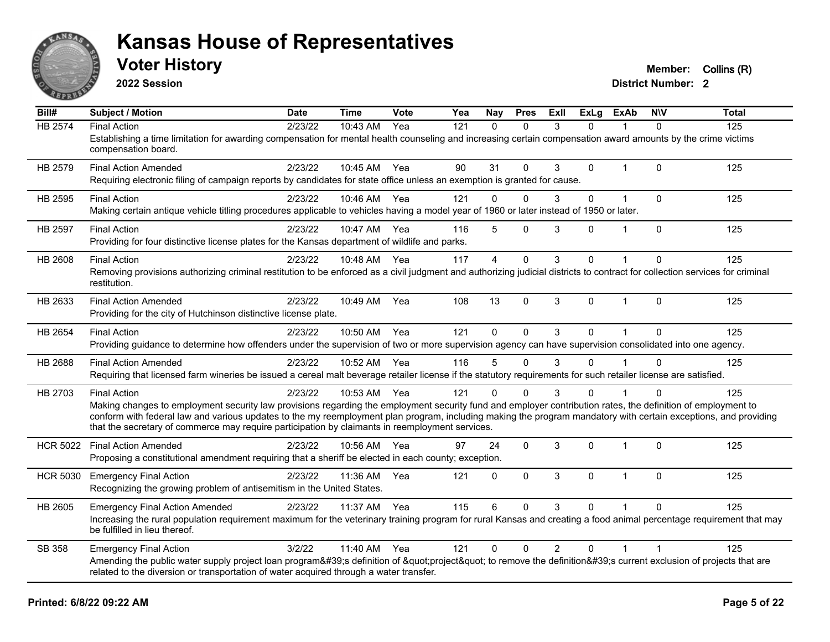

**2022 Session**

**Voter History Member:** Collins (R)

| $\overline{Bill#}$ | Subject / Motion                                                                                                                                                                                                                                                   | <b>Date</b> | <b>Time</b>  | <b>Vote</b> | Yea | <b>Nay</b>              | <b>Pres</b>  | ExII           | ExLg         | ExAb           | N/V            | <b>Total</b> |
|--------------------|--------------------------------------------------------------------------------------------------------------------------------------------------------------------------------------------------------------------------------------------------------------------|-------------|--------------|-------------|-----|-------------------------|--------------|----------------|--------------|----------------|----------------|--------------|
| <b>HB 2574</b>     | <b>Final Action</b>                                                                                                                                                                                                                                                | 2/23/22     | 10:43 AM     | Yea         | 121 | $\mathbf{0}$            | $\Omega$     | 3              | $\Omega$     |                | $\Omega$       | 125          |
|                    | Establishing a time limitation for awarding compensation for mental health counseling and increasing certain compensation award amounts by the crime victims<br>compensation board.                                                                                |             |              |             |     |                         |              |                |              |                |                |              |
| HB 2579            | <b>Final Action Amended</b>                                                                                                                                                                                                                                        | 2/23/22     | 10:45 AM Yea |             | 90  | 31                      | $\Omega$     | 3              | $\Omega$     | $\mathbf{1}$   | $\Omega$       | 125          |
|                    | Requiring electronic filing of campaign reports by candidates for state office unless an exemption is granted for cause.                                                                                                                                           |             |              |             |     |                         |              |                |              |                |                |              |
| HB 2595            | <b>Final Action</b>                                                                                                                                                                                                                                                | 2/23/22     | 10:46 AM     | Yea         | 121 | $\Omega$                | $\mathbf{0}$ | 3              | 0            | $\mathbf{1}$   | $\mathbf{0}$   | 125          |
|                    | Making certain antique vehicle titling procedures applicable to vehicles having a model year of 1960 or later instead of 1950 or later.                                                                                                                            |             |              |             |     |                         |              |                |              |                |                |              |
| HB 2597            | <b>Final Action</b>                                                                                                                                                                                                                                                | 2/23/22     | 10:47 AM     | Yea         | 116 | 5                       | $\mathbf{0}$ | 3              | 0            | $\overline{1}$ | $\Omega$       | 125          |
|                    | Providing for four distinctive license plates for the Kansas department of wildlife and parks.                                                                                                                                                                     |             |              |             |     |                         |              |                |              |                |                |              |
| HB 2608            | <b>Final Action</b>                                                                                                                                                                                                                                                | 2/23/22     | 10:48 AM     | Yea         | 117 | $\overline{\mathbf{A}}$ | $\mathbf{0}$ | 3              | 0            |                | $\Omega$       | 125          |
|                    | Removing provisions authorizing criminal restitution to be enforced as a civil judgment and authorizing judicial districts to contract for collection services for criminal                                                                                        |             |              |             |     |                         |              |                |              |                |                |              |
|                    | restitution.                                                                                                                                                                                                                                                       |             |              |             |     |                         |              |                |              |                |                |              |
| HB 2633            | <b>Final Action Amended</b>                                                                                                                                                                                                                                        | 2/23/22     | 10:49 AM     | Yea         | 108 | 13                      | $\mathbf{0}$ | 3              | $\mathbf{0}$ | $\mathbf{1}$   | $\Omega$       | 125          |
|                    | Providing for the city of Hutchinson distinctive license plate.                                                                                                                                                                                                    |             |              |             |     |                         |              |                |              |                |                |              |
| HB 2654            | <b>Final Action</b>                                                                                                                                                                                                                                                | 2/23/22     | 10:50 AM     | Yea         | 121 | $\Omega$                | $\Omega$     | 3              | $\Omega$     | $\overline{1}$ | $\Omega$       | 125          |
|                    | Providing guidance to determine how offenders under the supervision of two or more supervision agency can have supervision consolidated into one agency.                                                                                                           |             |              |             |     |                         |              |                |              |                |                |              |
| HB 2688            | <b>Final Action Amended</b>                                                                                                                                                                                                                                        | 2/23/22     | 10:52 AM     | Yea         | 116 | 5                       | $\mathbf{0}$ | 3              | 0            |                | $\Omega$       | 125          |
|                    | Requiring that licensed farm wineries be issued a cereal malt beverage retailer license if the statutory requirements for such retailer license are satisfied.                                                                                                     |             |              |             |     |                         |              |                |              |                |                |              |
| HB 2703            | <b>Final Action</b>                                                                                                                                                                                                                                                | 2/23/22     | 10:53 AM Yea |             | 121 | $\Omega$                | $\Omega$     | 3              | $\Omega$     |                |                | 125          |
|                    | Making changes to employment security law provisions regarding the employment security fund and employer contribution rates, the definition of employment to                                                                                                       |             |              |             |     |                         |              |                |              |                |                |              |
|                    | conform with federal law and various updates to the my reemployment plan program, including making the program mandatory with certain exceptions, and providing<br>that the secretary of commerce may require participation by claimants in reemployment services. |             |              |             |     |                         |              |                |              |                |                |              |
|                    |                                                                                                                                                                                                                                                                    |             |              |             |     |                         |              |                |              |                |                |              |
| <b>HCR 5022</b>    | <b>Final Action Amended</b>                                                                                                                                                                                                                                        | 2/23/22     | 10:56 AM Yea |             | 97  | 24                      | $\mathbf 0$  | 3              | 0            | 1              | $\Omega$       | 125          |
|                    | Proposing a constitutional amendment requiring that a sheriff be elected in each county; exception.                                                                                                                                                                |             |              |             |     |                         |              |                |              |                |                |              |
| <b>HCR 5030</b>    | <b>Emergency Final Action</b>                                                                                                                                                                                                                                      | 2/23/22     | 11:36 AM     | Yea         | 121 | $\Omega$                | $\mathbf{0}$ | 3              | $\Omega$     | $\mathbf{1}$   | $\Omega$       | 125          |
|                    | Recognizing the growing problem of antisemitism in the United States.                                                                                                                                                                                              |             |              |             |     |                         |              |                |              |                |                |              |
| HB 2605            | <b>Emergency Final Action Amended</b>                                                                                                                                                                                                                              | 2/23/22     | 11:37 AM     | Yea         | 115 | 6                       | $\Omega$     | 3              | $\Omega$     |                | $\Omega$       | 125          |
|                    | Increasing the rural population requirement maximum for the veterinary training program for rural Kansas and creating a food animal percentage requirement that may<br>be fulfilled in lieu thereof.                                                               |             |              |             |     |                         |              |                |              |                |                |              |
| SB 358             | <b>Emergency Final Action</b>                                                                                                                                                                                                                                      | 3/2/22      | 11:40 AM     | Yea         | 121 | $\pmb{0}$               | $\mathbf{0}$ | $\overline{2}$ | 0            | $\mathbf 1$    | $\overline{1}$ | 125          |
|                    | Amending the public water supply project loan program's definition of "project" to remove the definition's current exclusion of projects that are                                                                                                                  |             |              |             |     |                         |              |                |              |                |                |              |
|                    | related to the diversion or transportation of water acquired through a water transfer.                                                                                                                                                                             |             |              |             |     |                         |              |                |              |                |                |              |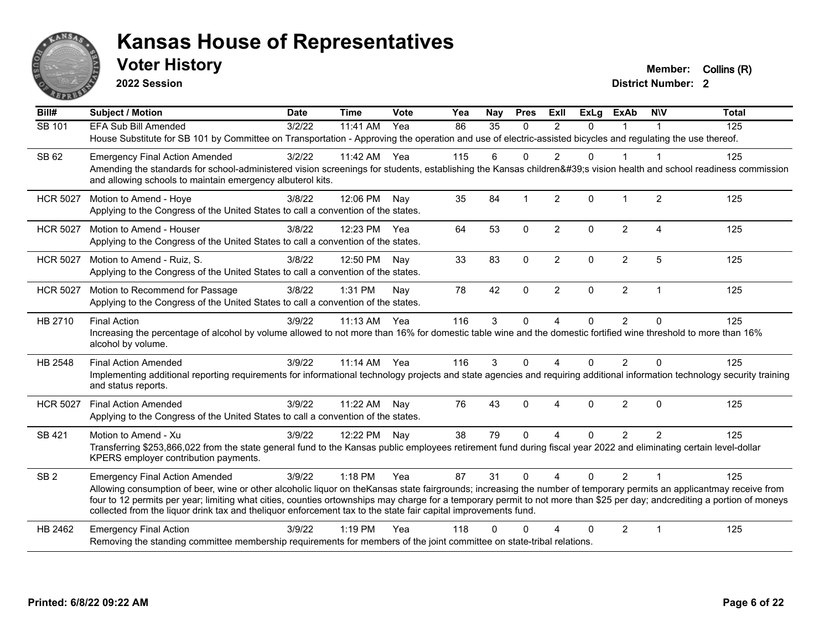

**2022 Session**

**Voter History Member:** Collins (R)

| Bill#           | <b>Subject / Motion</b>                                                                                                                                                                                                                                                                     | <b>Date</b> | <b>Time</b> | Vote | Yea | Nay      | <b>Pres</b>  | <b>ExII</b>            | <b>ExLg</b> | <b>ExAb</b>    | <b>NIV</b>     | <b>Total</b> |
|-----------------|---------------------------------------------------------------------------------------------------------------------------------------------------------------------------------------------------------------------------------------------------------------------------------------------|-------------|-------------|------|-----|----------|--------------|------------------------|-------------|----------------|----------------|--------------|
| SB 101          | <b>EFA Sub Bill Amended</b>                                                                                                                                                                                                                                                                 | 3/2/22      | 11:41 AM    | Yea  | 86  | 35       | $\Omega$     | 2                      | $\Omega$    | $\mathbf 1$    |                | 125          |
|                 | House Substitute for SB 101 by Committee on Transportation - Approving the operation and use of electric-assisted bicycles and regulating the use thereof.                                                                                                                                  |             |             |      |     |          |              |                        |             |                |                |              |
| SB 62           | <b>Emergency Final Action Amended</b>                                                                                                                                                                                                                                                       | 3/2/22      | 11:42 AM    | Yea  | 115 | 6        | $\Omega$     | 2                      | $\Omega$    | 1              | -1             | 125          |
|                 | Amending the standards for school-administered vision screenings for students, establishing the Kansas children's vision health and school readiness commission<br>and allowing schools to maintain emergency albuterol kits.                                                               |             |             |      |     |          |              |                        |             |                |                |              |
| <b>HCR 5027</b> | Motion to Amend - Hoye                                                                                                                                                                                                                                                                      | 3/8/22      | 12:06 PM    | Nav  | 35  | 84       | $\mathbf 1$  | 2                      | $\Omega$    | $\mathbf 1$    | 2              | 125          |
|                 | Applying to the Congress of the United States to call a convention of the states.                                                                                                                                                                                                           |             |             |      |     |          |              |                        |             |                |                |              |
| <b>HCR 5027</b> | Motion to Amend - Houser                                                                                                                                                                                                                                                                    | 3/8/22      | 12:23 PM    | Yea  | 64  | 53       | $\mathbf 0$  | $\overline{2}$         | $\Omega$    | $\overline{2}$ | $\overline{4}$ | 125          |
|                 | Applying to the Congress of the United States to call a convention of the states.                                                                                                                                                                                                           |             |             |      |     |          |              |                        |             |                |                |              |
| <b>HCR 5027</b> | Motion to Amend - Ruiz, S.                                                                                                                                                                                                                                                                  | 3/8/22      | 12:50 PM    | Nav  | 33  | 83       | $\mathbf{0}$ | $\overline{2}$         | $\Omega$    | $\overline{2}$ | 5              | 125          |
|                 | Applying to the Congress of the United States to call a convention of the states.                                                                                                                                                                                                           |             |             |      |     |          |              |                        |             |                |                |              |
| <b>HCR 5027</b> | Motion to Recommend for Passage                                                                                                                                                                                                                                                             | 3/8/22      | 1:31 PM     | Nav  | 78  | 42       | $\Omega$     | $\overline{2}$         | $\Omega$    | $\overline{2}$ | $\overline{1}$ | 125          |
|                 | Applying to the Congress of the United States to call a convention of the states.                                                                                                                                                                                                           |             |             |      |     |          |              |                        |             |                |                |              |
| HB 2710         | <b>Final Action</b>                                                                                                                                                                                                                                                                         | 3/9/22      | 11:13 AM    | Yea  | 116 | 3        | $\mathbf 0$  | 4                      | 0           | $\overline{2}$ | $\mathbf{0}$   | 125          |
|                 | Increasing the percentage of alcohol by volume allowed to not more than 16% for domestic table wine and the domestic fortified wine threshold to more than 16%<br>alcohol by volume.                                                                                                        |             |             |      |     |          |              |                        |             |                |                |              |
| HB 2548         | <b>Final Action Amended</b>                                                                                                                                                                                                                                                                 | 3/9/22      | $11:14$ AM  | Yea  | 116 | 3        | $\Omega$     | 4                      | $\Omega$    | $\overline{2}$ | $\Omega$       | 125          |
|                 | Implementing additional reporting requirements for informational technology projects and state agencies and requiring additional information technology security training<br>and status reports.                                                                                            |             |             |      |     |          |              |                        |             |                |                |              |
| <b>HCR 5027</b> | <b>Final Action Amended</b>                                                                                                                                                                                                                                                                 | 3/9/22      | 11:22 AM    | Nay  | 76  | 43       | $\mathbf{0}$ | $\boldsymbol{\Lambda}$ | $\Omega$    | $\overline{2}$ | $\Omega$       | 125          |
|                 | Applying to the Congress of the United States to call a convention of the states.                                                                                                                                                                                                           |             |             |      |     |          |              |                        |             |                |                |              |
| SB 421          | Motion to Amend - Xu                                                                                                                                                                                                                                                                        | 3/9/22      | 12:22 PM    | Nay  | 38  | 79       | $\Omega$     | 4                      | $\Omega$    | $\overline{2}$ | $\overline{2}$ | 125          |
|                 | Transferring \$253,866,022 from the state general fund to the Kansas public employees retirement fund during fiscal year 2022 and eliminating certain level-dollar<br>KPERS employer contribution payments.                                                                                 |             |             |      |     |          |              |                        |             |                |                |              |
|                 |                                                                                                                                                                                                                                                                                             |             |             |      |     |          |              |                        |             |                |                |              |
| SB <sub>2</sub> | <b>Emergency Final Action Amended</b><br>Allowing consumption of beer, wine or other alcoholic liquor on theKansas state fairgrounds; increasing the number of temporary permits an applicantmay receive from                                                                               | 3/9/22      | 1:18 PM     | Yea  | 87  | 31       | $\Omega$     | $\overline{4}$         | $\Omega$    | $\overline{2}$ | $\overline{1}$ | 125          |
|                 | four to 12 permits per year; limiting what cities, counties ortownships may charge for a temporary permit to not more than \$25 per day; andcrediting a portion of moneys<br>collected from the liquor drink tax and theliquor enforcement tax to the state fair capital improvements fund. |             |             |      |     |          |              |                        |             |                |                |              |
|                 |                                                                                                                                                                                                                                                                                             | 3/9/22      | $1:19$ PM   | Yea  | 118 | $\Omega$ | $\Omega$     | Δ                      | $\Omega$    |                | $\mathbf 1$    |              |
| HB 2462         | <b>Emergency Final Action</b><br>Removing the standing committee membership requirements for members of the joint committee on state-tribal relations.                                                                                                                                      |             |             |      |     |          |              |                        |             | $\overline{2}$ |                | 125          |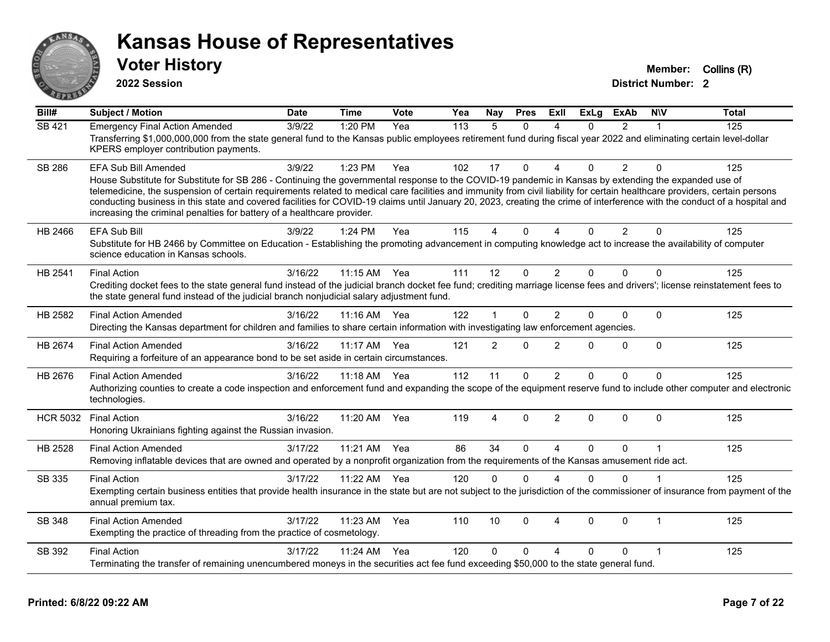

**2022 Session**

**Voter History Member: Collins (R)** 

| $\overline{BiII#}$ | <b>Subject / Motion</b>                                                                                                                                                                                                                                                                                                                                                                                                                                                                                                                                                                                                      | <b>Date</b> | <b>Time</b>  | Vote | Yea | Nay            | <b>Pres</b> | ExII                   | <b>ExLg</b> | <b>ExAb</b>    | <b>NIV</b>   | <b>Total</b> |
|--------------------|------------------------------------------------------------------------------------------------------------------------------------------------------------------------------------------------------------------------------------------------------------------------------------------------------------------------------------------------------------------------------------------------------------------------------------------------------------------------------------------------------------------------------------------------------------------------------------------------------------------------------|-------------|--------------|------|-----|----------------|-------------|------------------------|-------------|----------------|--------------|--------------|
| <b>SB 421</b>      | <b>Emergency Final Action Amended</b><br>Transferring \$1,000,000,000 from the state general fund to the Kansas public employees retirement fund during fiscal year 2022 and eliminating certain level-dollar<br>KPERS employer contribution payments.                                                                                                                                                                                                                                                                                                                                                                       | 3/9/22      | 1:20 PM      | Yea  | 113 | $\overline{5}$ | $\Omega$    | Δ                      | $\Omega$    | $\overline{2}$ |              | 125          |
| <b>SB 286</b>      | <b>EFA Sub Bill Amended</b><br>House Substitute for Substitute for SB 286 - Continuing the governmental response to the COVID-19 pandemic in Kansas by extending the expanded use of<br>telemedicine, the suspension of certain requirements related to medical care facilities and immunity from civil liability for certain healthcare providers, certain persons<br>conducting business in this state and covered facilities for COVID-19 claims until January 20, 2023, creating the crime of interference with the conduct of a hospital and<br>increasing the criminal penalties for battery of a healthcare provider. | 3/9/22      | 1:23 PM      | Yea  | 102 | 17             | 0           | $\Delta$               | 0           | $\overline{2}$ | $\Omega$     | 125          |
| HB 2466            | <b>EFA Sub Bill</b><br>Substitute for HB 2466 by Committee on Education - Establishing the promoting advancement in computing knowledge act to increase the availability of computer<br>science education in Kansas schools.                                                                                                                                                                                                                                                                                                                                                                                                 | 3/9/22      | 1:24 PM      | Yea  | 115 | 4              | 0           | Δ                      | $\Omega$    | $\overline{2}$ | $\mathbf{0}$ | 125          |
| HB 2541            | <b>Final Action</b><br>Crediting docket fees to the state general fund instead of the judicial branch docket fee fund; crediting marriage license fees and drivers'; license reinstatement fees to<br>the state general fund instead of the judicial branch nonjudicial salary adjustment fund.                                                                                                                                                                                                                                                                                                                              | 3/16/22     | 11:15 AM     | Yea  | 111 | 12             | $\mathbf 0$ | $\overline{2}$         | $\Omega$    | $\Omega$       | $\Omega$     | 125          |
| HB 2582            | <b>Final Action Amended</b><br>Directing the Kansas department for children and families to share certain information with investigating law enforcement agencies.                                                                                                                                                                                                                                                                                                                                                                                                                                                           | 3/16/22     | 11:16 AM Yea |      | 122 |                | 0           | $\overline{2}$         | $\Omega$    | $\mathbf 0$    | $\mathbf 0$  | 125          |
| HB 2674            | <b>Final Action Amended</b><br>Requiring a forfeiture of an appearance bond to be set aside in certain circumstances.                                                                                                                                                                                                                                                                                                                                                                                                                                                                                                        | 3/16/22     | 11:17 AM     | Yea  | 121 | $\overline{2}$ | 0           | $\overline{2}$         | $\Omega$    | $\mathbf 0$    | $\Omega$     | 125          |
| HB 2676            | <b>Final Action Amended</b><br>Authorizing counties to create a code inspection and enforcement fund and expanding the scope of the equipment reserve fund to include other computer and electronic<br>technologies.                                                                                                                                                                                                                                                                                                                                                                                                         | 3/16/22     | 11:18 AM     | Yea  | 112 | 11             | 0           | 2                      | $\Omega$    | $\Omega$       | $\Omega$     | 125          |
| <b>HCR 5032</b>    | <b>Final Action</b><br>Honoring Ukrainians fighting against the Russian invasion.                                                                                                                                                                                                                                                                                                                                                                                                                                                                                                                                            | 3/16/22     | 11:20 AM     | Yea  | 119 | 4              | 0           | $\overline{2}$         | $\Omega$    | $\Omega$       | $\mathbf{0}$ | 125          |
| HB 2528            | <b>Final Action Amended</b><br>Removing inflatable devices that are owned and operated by a nonprofit organization from the requirements of the Kansas amusement ride act.                                                                                                                                                                                                                                                                                                                                                                                                                                                   | 3/17/22     | 11:21 AM     | Yea  | 86  | 34             | $\Omega$    | $\boldsymbol{\Lambda}$ | $\Omega$    | $\Omega$       | 1            | 125          |
| SB 335             | <b>Final Action</b><br>Exempting certain business entities that provide health insurance in the state but are not subject to the jurisdiction of the commissioner of insurance from payment of the<br>annual premium tax.                                                                                                                                                                                                                                                                                                                                                                                                    | 3/17/22     | 11:22 AM     | Yea  | 120 | $\mathbf{0}$   | $\Omega$    | $\Lambda$              | $\Omega$    | $\Omega$       |              | 125          |
| SB 348             | <b>Final Action Amended</b><br>Exempting the practice of threading from the practice of cosmetology.                                                                                                                                                                                                                                                                                                                                                                                                                                                                                                                         | 3/17/22     | 11:23 AM     | Yea  | 110 | 10             | 0           | $\overline{4}$         | $\Omega$    | $\mathbf{0}$   | 1            | 125          |
| SB 392             | <b>Final Action</b><br>Terminating the transfer of remaining unencumbered moneys in the securities act fee fund exceeding \$50,000 to the state general fund.                                                                                                                                                                                                                                                                                                                                                                                                                                                                | 3/17/22     | 11:24 AM     | Yea  | 120 | $\Omega$       | 0           | 4                      | $\Omega$    | $\Omega$       |              | 125          |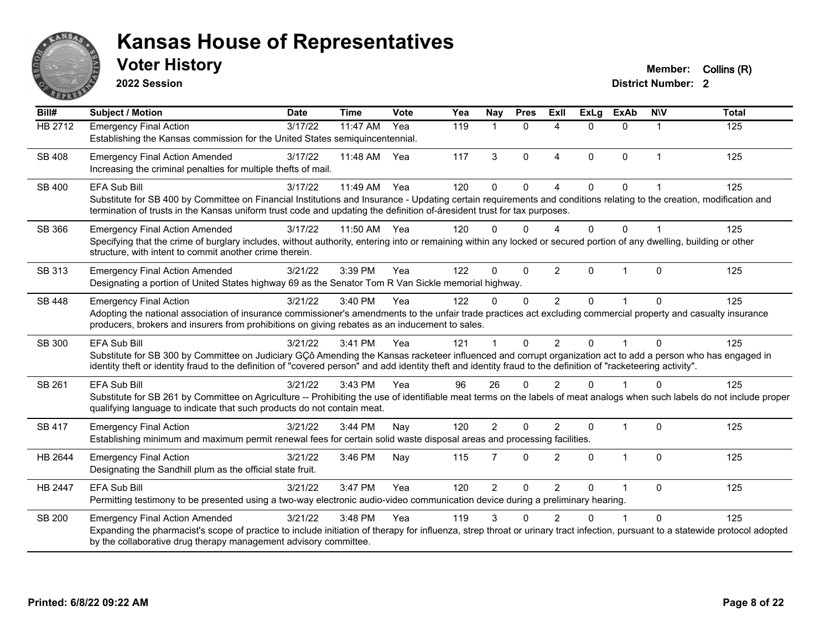

**2022 Session**

**Voter History Member:** Collins (R)

| Bill#          | <b>Subject / Motion</b>                                                                                                                                                                                                                                                                                                        | <b>Date</b> | <b>Time</b> | Vote | Yea | <b>Nay</b>     | <b>Pres</b>  | <b>ExII</b>              | <b>ExLg</b>  | <b>ExAb</b>    | <b>NIV</b>  | <b>Total</b> |  |
|----------------|--------------------------------------------------------------------------------------------------------------------------------------------------------------------------------------------------------------------------------------------------------------------------------------------------------------------------------|-------------|-------------|------|-----|----------------|--------------|--------------------------|--------------|----------------|-------------|--------------|--|
| <b>HB 2712</b> | <b>Emergency Final Action</b>                                                                                                                                                                                                                                                                                                  | 3/17/22     | 11:47 AM    | Yea  | 119 | 1              | $\mathbf{0}$ | $\boldsymbol{\Lambda}$   | $\Omega$     | $\Omega$       | 1           | 125          |  |
|                | Establishing the Kansas commission for the United States semiquincentennial.                                                                                                                                                                                                                                                   |             |             |      |     |                |              |                          |              |                |             |              |  |
| SB 408         | <b>Emergency Final Action Amended</b>                                                                                                                                                                                                                                                                                          | 3/17/22     | 11:48 AM    | Yea  | 117 | 3              | $\Omega$     | $\overline{\mathbf{A}}$  | $\Omega$     | $\Omega$       | $\mathbf 1$ | 125          |  |
|                | Increasing the criminal penalties for multiple thefts of mail.                                                                                                                                                                                                                                                                 |             |             |      |     |                |              |                          |              |                |             |              |  |
| <b>SB 400</b>  | <b>EFA Sub Bill</b>                                                                                                                                                                                                                                                                                                            | 3/17/22     | 11:49 AM    | Yea  | 120 | $\Omega$       | $\Omega$     | $\Delta$                 | $\Omega$     | $\Omega$       |             | 125          |  |
|                | Substitute for SB 400 by Committee on Financial Institutions and Insurance - Updating certain requirements and conditions relating to the creation, modification and                                                                                                                                                           |             |             |      |     |                |              |                          |              |                |             |              |  |
|                | termination of trusts in the Kansas uniform trust code and updating the definition of-áresident trust for tax purposes.                                                                                                                                                                                                        |             |             |      |     |                |              |                          |              |                |             |              |  |
| SB 366         | <b>Emergency Final Action Amended</b>                                                                                                                                                                                                                                                                                          | 3/17/22     | 11:50 AM    | Yea  | 120 | $\Omega$       | $\Omega$     | $\boldsymbol{\varDelta}$ | $\Omega$     | $\Omega$       |             | 125          |  |
|                | Specifying that the crime of burglary includes, without authority, entering into or remaining within any locked or secured portion of any dwelling, building or other                                                                                                                                                          |             |             |      |     |                |              |                          |              |                |             |              |  |
|                | structure, with intent to commit another crime therein.                                                                                                                                                                                                                                                                        |             |             |      |     |                |              |                          |              |                |             |              |  |
| SB 313         | <b>Emergency Final Action Amended</b>                                                                                                                                                                                                                                                                                          | 3/21/22     | 3:39 PM     | Yea  | 122 | $\Omega$       | $\mathbf 0$  | $\overline{2}$           | $\mathbf{0}$ | $\overline{1}$ | $\Omega$    | 125          |  |
|                | Designating a portion of United States highway 69 as the Senator Tom R Van Sickle memorial highway.                                                                                                                                                                                                                            |             |             |      |     |                |              |                          |              |                |             |              |  |
| <b>SB 448</b>  | <b>Emergency Final Action</b>                                                                                                                                                                                                                                                                                                  | 3/21/22     | 3:40 PM     | Yea  | 122 | 0              | $\Omega$     | 2                        | $\Omega$     |                | $\Omega$    | 125          |  |
|                | Adopting the national association of insurance commissioner's amendments to the unfair trade practices act excluding commercial property and casualty insurance<br>producers, brokers and insurers from prohibitions on giving rebates as an inducement to sales.                                                              |             |             |      |     |                |              |                          |              |                |             |              |  |
|                |                                                                                                                                                                                                                                                                                                                                |             |             |      |     |                |              |                          |              |                |             |              |  |
| SB 300         | <b>EFA Sub Bill</b>                                                                                                                                                                                                                                                                                                            | 3/21/22     | 3:41 PM     | Yea  | 121 |                | $\Omega$     | $\mathfrak{p}$           | $\Omega$     | $\overline{1}$ | $\Omega$    | 125          |  |
|                | Substitute for SB 300 by Committee on Judiciary GÇô Amending the Kansas racketeer influenced and corrupt organization act to add a person who has engaged in<br>identity theft or identity fraud to the definition of "covered person" and add identity theft and identity fraud to the definition of "racketeering activity". |             |             |      |     |                |              |                          |              |                |             |              |  |
|                |                                                                                                                                                                                                                                                                                                                                |             |             |      |     |                |              |                          |              |                |             |              |  |
| SB 261         | <b>EFA Sub Bill</b>                                                                                                                                                                                                                                                                                                            | 3/21/22     | 3:43 PM     | Yea  | 96  | 26             | $\Omega$     | 2                        | $\Omega$     |                | $\Omega$    | 125          |  |
|                | Substitute for SB 261 by Committee on Agriculture -- Prohibiting the use of identifiable meat terms on the labels of meat analogs when such labels do not include proper<br>qualifying language to indicate that such products do not contain meat.                                                                            |             |             |      |     |                |              |                          |              |                |             |              |  |
|                |                                                                                                                                                                                                                                                                                                                                |             |             |      |     |                |              |                          |              |                |             |              |  |
| SB 417         | <b>Emergency Final Action</b><br>Establishing minimum and maximum permit renewal fees for certain solid waste disposal areas and processing facilities.                                                                                                                                                                        | 3/21/22     | 3:44 PM     | Nay  | 120 | $\overline{2}$ | $\Omega$     | 2                        | $\Omega$     | 1              | $\Omega$    | 125          |  |
|                |                                                                                                                                                                                                                                                                                                                                |             |             |      |     |                |              |                          |              |                |             |              |  |
| HB 2644        | <b>Emergency Final Action</b>                                                                                                                                                                                                                                                                                                  | 3/21/22     | 3:46 PM     | Nay  | 115 | 7              | $\Omega$     | 2                        | $\Omega$     | $\mathbf{1}$   | $\Omega$    | 125          |  |
|                | Designating the Sandhill plum as the official state fruit.                                                                                                                                                                                                                                                                     |             |             |      |     |                |              |                          |              |                |             |              |  |
| HB 2447        | <b>EFA Sub Bill</b>                                                                                                                                                                                                                                                                                                            | 3/21/22     | 3:47 PM     | Yea  | 120 | $\overline{2}$ | 0            | $\overline{2}$           | $\Omega$     | 1              | $\Omega$    | 125          |  |
|                | Permitting testimony to be presented using a two-way electronic audio-video communication device during a preliminary hearing.                                                                                                                                                                                                 |             |             |      |     |                |              |                          |              |                |             |              |  |
| <b>SB 200</b>  | <b>Emergency Final Action Amended</b>                                                                                                                                                                                                                                                                                          | 3/21/22     | 3:48 PM     | Yea  | 119 | 3              | $\Omega$     | 2                        | U            |                | $\Omega$    | 125          |  |
|                | Expanding the pharmacist's scope of practice to include initiation of therapy for influenza, strep throat or urinary tract infection, pursuant to a statewide protocol adopted                                                                                                                                                 |             |             |      |     |                |              |                          |              |                |             |              |  |
|                | by the collaborative drug therapy management advisory committee.                                                                                                                                                                                                                                                               |             |             |      |     |                |              |                          |              |                |             |              |  |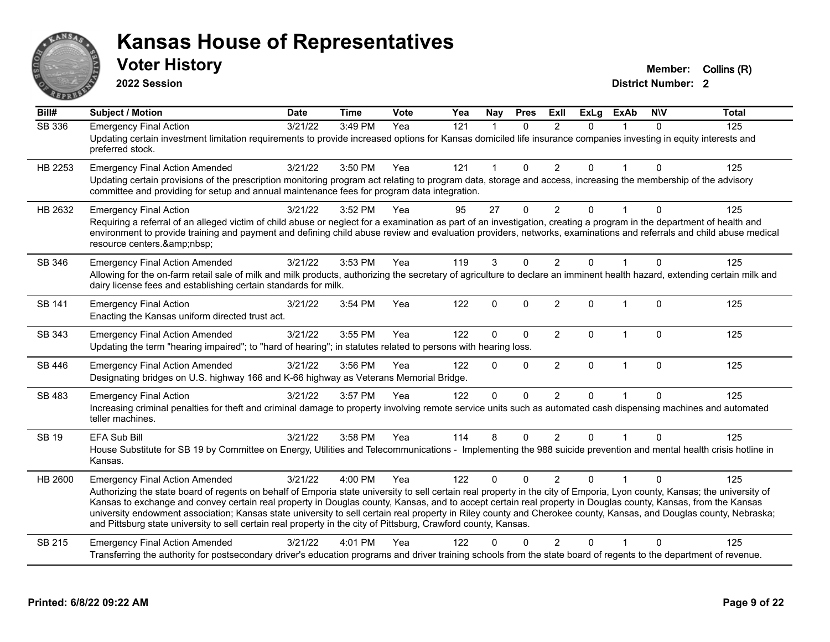

**2022 Session**

**Voter History Member:** Collins (R)

| Bill#         | <b>Subject / Motion</b>                                                                                                                                                                                                                                                                                                                                                                                                                                                                                                                                                                                                                                                      | <b>Date</b> | <b>Time</b> | Vote | Yea | <b>Nay</b>   | <b>Pres</b>  | <b>Exll</b>    | <b>ExLg</b>  | <b>ExAb</b>  | <b>NIV</b>   | <b>Total</b> |
|---------------|------------------------------------------------------------------------------------------------------------------------------------------------------------------------------------------------------------------------------------------------------------------------------------------------------------------------------------------------------------------------------------------------------------------------------------------------------------------------------------------------------------------------------------------------------------------------------------------------------------------------------------------------------------------------------|-------------|-------------|------|-----|--------------|--------------|----------------|--------------|--------------|--------------|--------------|
| SB 336        | <b>Emergency Final Action</b><br>Updating certain investment limitation requirements to provide increased options for Kansas domiciled life insurance companies investing in equity interests and<br>preferred stock.                                                                                                                                                                                                                                                                                                                                                                                                                                                        | 3/21/22     | 3:49 PM     | Yea  | 121 | $\mathbf{1}$ | $\Omega$     | $\mathfrak{p}$ | $\Omega$     |              | $\Omega$     | 125          |
| HB 2253       | <b>Emergency Final Action Amended</b><br>Updating certain provisions of the prescription monitoring program act relating to program data, storage and access, increasing the membership of the advisory<br>committee and providing for setup and annual maintenance fees for program data integration.                                                                                                                                                                                                                                                                                                                                                                       | 3/21/22     | 3:50 PM     | Yea  | 121 | 1            | $\mathbf{0}$ | $\overline{2}$ | $\Omega$     |              | $\mathbf{0}$ | 125          |
| HB 2632       | <b>Emergency Final Action</b><br>Requiring a referral of an alleged victim of child abuse or neglect for a examination as part of an investigation, creating a program in the department of health and<br>environment to provide training and payment and defining child abuse review and evaluation providers, networks, examinations and referrals and child abuse medical<br>resource centers.                                                                                                                                                                                                                                                                            | 3/21/22     | 3:52 PM     | Yea  | 95  | 27           | 0            | $\overline{2}$ | 0            |              | $\Omega$     | 125          |
| SB 346        | <b>Emergency Final Action Amended</b><br>Allowing for the on-farm retail sale of milk and milk products, authorizing the secretary of agriculture to declare an imminent health hazard, extending certain milk and<br>dairy license fees and establishing certain standards for milk.                                                                                                                                                                                                                                                                                                                                                                                        | 3/21/22     | 3:53 PM     | Yea  | 119 | 3            | $\Omega$     | $\overline{2}$ | $\Omega$     | $\mathbf 1$  | $\Omega$     | 125          |
| <b>SB 141</b> | <b>Emergency Final Action</b><br>Enacting the Kansas uniform directed trust act.                                                                                                                                                                                                                                                                                                                                                                                                                                                                                                                                                                                             | 3/21/22     | 3:54 PM     | Yea  | 122 | 0            | $\Omega$     | $\overline{2}$ | $\Omega$     | $\mathbf 1$  | $\mathbf{0}$ | 125          |
| SB 343        | <b>Emergency Final Action Amended</b><br>Updating the term "hearing impaired"; to "hard of hearing"; in statutes related to persons with hearing loss.                                                                                                                                                                                                                                                                                                                                                                                                                                                                                                                       | 3/21/22     | 3:55 PM     | Yea  | 122 | $\Omega$     | $\Omega$     | $\overline{2}$ | $\Omega$     | $\mathbf 1$  | $\Omega$     | 125          |
| SB 446        | <b>Emergency Final Action Amended</b><br>Designating bridges on U.S. highway 166 and K-66 highway as Veterans Memorial Bridge.                                                                                                                                                                                                                                                                                                                                                                                                                                                                                                                                               | 3/21/22     | 3:56 PM     | Yea  | 122 | $\Omega$     | $\Omega$     | $\overline{2}$ | $\Omega$     | $\mathbf{1}$ | $\mathbf{0}$ | 125          |
| SB 483        | <b>Emergency Final Action</b><br>Increasing criminal penalties for theft and criminal damage to property involving remote service units such as automated cash dispensing machines and automated<br>teller machines.                                                                                                                                                                                                                                                                                                                                                                                                                                                         | 3/21/22     | 3:57 PM     | Yea  | 122 | $\mathbf{0}$ | 0            | 2              | 0            |              | $\Omega$     | 125          |
| <b>SB 19</b>  | EFA Sub Bill<br>House Substitute for SB 19 by Committee on Energy, Utilities and Telecommunications - Implementing the 988 suicide prevention and mental health crisis hotline in<br>Kansas.                                                                                                                                                                                                                                                                                                                                                                                                                                                                                 | 3/21/22     | 3:58 PM     | Yea  | 114 | 8            | $\Omega$     | $\overline{2}$ | $\Omega$     |              | $\Omega$     | 125          |
| HB 2600       | <b>Emergency Final Action Amended</b><br>Authorizing the state board of regents on behalf of Emporia state university to sell certain real property in the city of Emporia, Lyon county, Kansas; the university of<br>Kansas to exchange and convey certain real property in Douglas county, Kansas, and to accept certain real property in Douglas county, Kansas, from the Kansas<br>university endowment association; Kansas state university to sell certain real property in Riley county and Cherokee county, Kansas, and Douglas county, Nebraska;<br>and Pittsburg state university to sell certain real property in the city of Pittsburg, Crawford county, Kansas. | 3/21/22     | 4:00 PM     | Yea  | 122 | $\Omega$     | $\Omega$     | $\mathfrak{p}$ | <sup>n</sup> |              | $\Omega$     | 125          |
| SB 215        | <b>Emergency Final Action Amended</b><br>Transferring the authority for postsecondary driver's education programs and driver training schools from the state board of regents to the department of revenue.                                                                                                                                                                                                                                                                                                                                                                                                                                                                  | 3/21/22     | 4:01 PM     | Yea  | 122 | n            | ∩            | 2              | U            |              | $\Omega$     | 125          |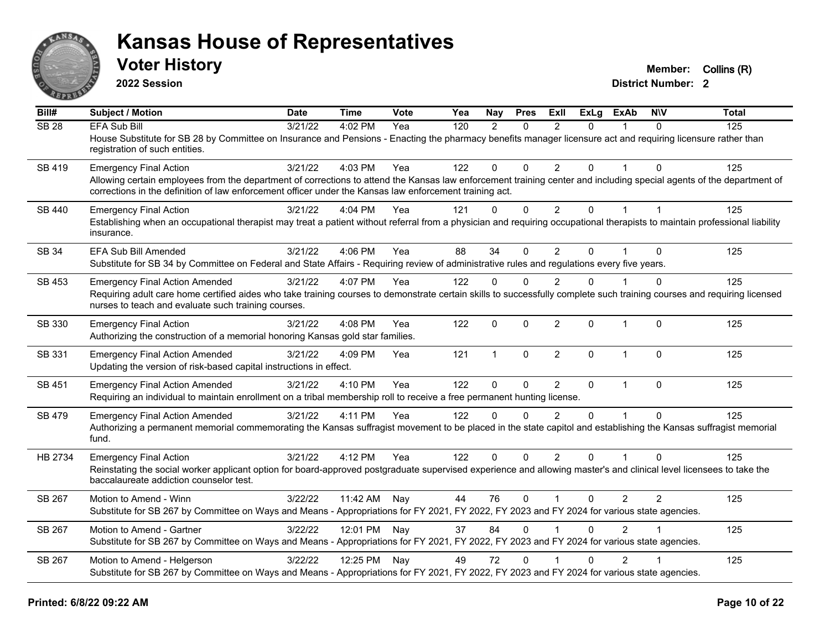

**2022 Session**

**Voter History Member:** Collins (R)

| Bill#        | Subject / Motion                                                                                                                                                                                                                                                                | <b>Date</b> | <b>Time</b>  | Vote | Yea | Nay          | <b>Pres</b>  | Exll                    | ExLg           | <b>ExAb</b>    | <b>NIV</b> | <b>Total</b> |
|--------------|---------------------------------------------------------------------------------------------------------------------------------------------------------------------------------------------------------------------------------------------------------------------------------|-------------|--------------|------|-----|--------------|--------------|-------------------------|----------------|----------------|------------|--------------|
| <b>SB 28</b> | <b>EFA Sub Bill</b>                                                                                                                                                                                                                                                             | 3/21/22     | 4:02 PM      | Yea  | 120 | 2            | $\Omega$     | 2                       | $\Omega$       |                | $\Omega$   | 125          |
|              | House Substitute for SB 28 by Committee on Insurance and Pensions - Enacting the pharmacy benefits manager licensure act and requiring licensure rather than<br>registration of such entities.                                                                                  |             |              |      |     |              |              |                         |                |                |            |              |
| SB 419       | <b>Emergency Final Action</b>                                                                                                                                                                                                                                                   | 3/21/22     | 4:03 PM      | Yea  | 122 | 0            | $\Omega$     | $\overline{2}$          | $\Omega$       |                | $\Omega$   | 125          |
|              | Allowing certain employees from the department of corrections to attend the Kansas law enforcement training center and including special agents of the department of<br>corrections in the definition of law enforcement officer under the Kansas law enforcement training act. |             |              |      |     |              |              |                         |                |                |            |              |
| SB 440       | <b>Emergency Final Action</b>                                                                                                                                                                                                                                                   | 3/21/22     | 4:04 PM      | Yea  | 121 | $\mathbf{0}$ | $\mathbf 0$  | $\overline{2}$          | $\overline{0}$ | $\mathbf{1}$   |            | 125          |
|              | Establishing when an occupational therapist may treat a patient without referral from a physician and requiring occupational therapists to maintain professional liability<br>insurance.                                                                                        |             |              |      |     |              |              |                         |                |                |            |              |
| SB 34        | EFA Sub Bill Amended                                                                                                                                                                                                                                                            | 3/21/22     | 4:06 PM      | Yea  | 88  | 34           | $\Omega$     | 2                       | 0              |                | $\Omega$   | 125          |
|              | Substitute for SB 34 by Committee on Federal and State Affairs - Requiring review of administrative rules and regulations every five years.                                                                                                                                     |             |              |      |     |              |              |                         |                |                |            |              |
| SB 453       | <b>Emergency Final Action Amended</b>                                                                                                                                                                                                                                           | 3/21/22     | 4:07 PM      | Yea  | 122 | $\mathbf{0}$ | $\Omega$     | $\overline{2}$          | $\Omega$       |                | $\Omega$   | 125          |
|              | Requiring adult care home certified aides who take training courses to demonstrate certain skills to successfully complete such training courses and requiring licensed<br>nurses to teach and evaluate such training courses.                                                  |             |              |      |     |              |              |                         |                |                |            |              |
| SB 330       | <b>Emergency Final Action</b>                                                                                                                                                                                                                                                   | 3/21/22     | 4:08 PM      | Yea  | 122 | $\mathbf{0}$ | $\mathbf{0}$ | $\overline{2}$          | 0              | $\mathbf{1}$   | $\Omega$   | 125          |
|              | Authorizing the construction of a memorial honoring Kansas gold star families.                                                                                                                                                                                                  |             |              |      |     |              |              |                         |                |                |            |              |
| SB 331       | <b>Emergency Final Action Amended</b><br>Updating the version of risk-based capital instructions in effect.                                                                                                                                                                     | 3/21/22     | 4:09 PM      | Yea  | 121 | $\mathbf{1}$ | $\mathbf 0$  | $\overline{2}$          | $\Omega$       | $\overline{1}$ | $\Omega$   | 125          |
| SB 451       | <b>Emergency Final Action Amended</b>                                                                                                                                                                                                                                           | 3/21/22     | 4:10 PM      | Yea  | 122 | $\mathbf 0$  | $\mathbf 0$  | 2                       | $\mathbf{0}$   | 1              | $\Omega$   | 125          |
|              | Requiring an individual to maintain enrollment on a tribal membership roll to receive a free permanent hunting license.                                                                                                                                                         |             |              |      |     |              |              |                         |                |                |            |              |
| SB 479       | <b>Emergency Final Action Amended</b>                                                                                                                                                                                                                                           | 3/21/22     | 4:11 PM      | Yea  | 122 | $\Omega$     | $\Omega$     | $\mathfrak{p}$          | $\Omega$       |                | $\Omega$   | 125          |
|              | Authorizing a permanent memorial commemorating the Kansas suffragist movement to be placed in the state capitol and establishing the Kansas suffragist memorial<br>fund.                                                                                                        |             |              |      |     |              |              |                         |                |                |            |              |
| HB 2734      | <b>Emergency Final Action</b>                                                                                                                                                                                                                                                   | 3/21/22     | 4:12 PM      | Yea  | 122 | $\mathbf{0}$ | $\mathbf{0}$ | $\overline{2}$          | $\Omega$       |                | $\Omega$   | 125          |
|              | Reinstating the social worker applicant option for board-approved postgraduate supervised experience and allowing master's and clinical level licensees to take the<br>baccalaureate addiction counselor test.                                                                  |             |              |      |     |              |              |                         |                |                |            |              |
| SB 267       | Motion to Amend - Winn                                                                                                                                                                                                                                                          | 3/22/22     | 11:42 AM     | Nay  | 44  | 76           | $\mathbf{0}$ | $\overline{\mathbf{1}}$ | 0              | $\overline{2}$ | 2          | 125          |
|              | Substitute for SB 267 by Committee on Ways and Means - Appropriations for FY 2021, FY 2022, FY 2023 and FY 2024 for various state agencies.                                                                                                                                     |             |              |      |     |              |              |                         |                |                |            |              |
| SB 267       | Motion to Amend - Gartner                                                                                                                                                                                                                                                       | 3/22/22     | 12:01 PM Nay |      | 37  | 84           | $\mathbf{0}$ |                         | 0              | $\overline{2}$ |            | 125          |
|              | Substitute for SB 267 by Committee on Ways and Means - Appropriations for FY 2021, FY 2022, FY 2023 and FY 2024 for various state agencies.                                                                                                                                     |             |              |      |     |              |              |                         |                |                |            |              |
| SB 267       | Motion to Amend - Helgerson                                                                                                                                                                                                                                                     | 3/22/22     | 12:25 PM Nay |      | 49  | 72           | $\mathbf{0}$ |                         | $\Omega$       | $\overline{2}$ |            | 125          |
|              | Substitute for SB 267 by Committee on Ways and Means - Appropriations for FY 2021, FY 2022, FY 2023 and FY 2024 for various state agencies.                                                                                                                                     |             |              |      |     |              |              |                         |                |                |            |              |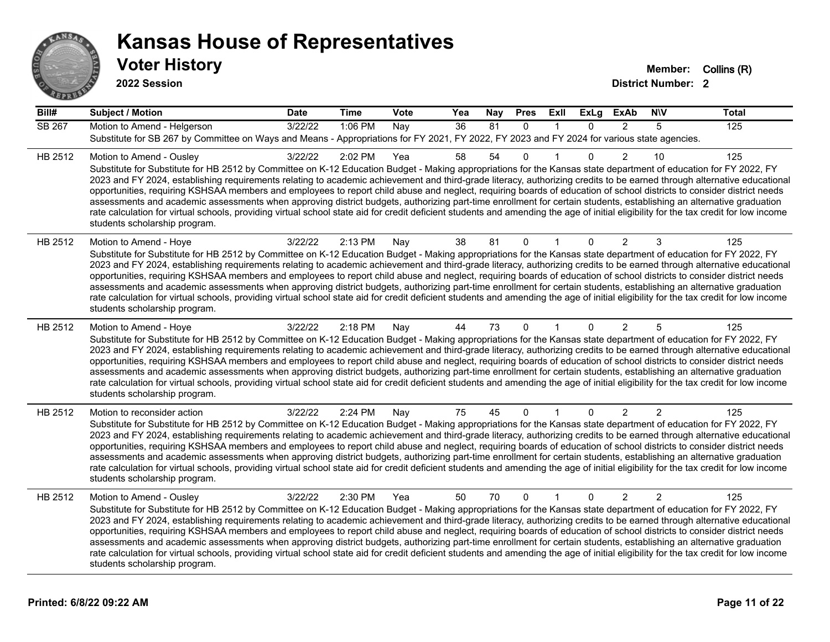

**2022 Session**

| Bill#         | <b>Subject / Motion</b>                                                                                                                                                                                                                                                                                                                                                                                                                                                                                                                                                                                                                                                                                                                                                                                                                                                                                                                             | <b>Date</b> | <b>Time</b> | Vote | Yea | Nay | <b>Pres</b>  | ExII         | <b>ExLg</b> | <b>ExAb</b>    | <b>NIV</b>     | <b>Total</b> |
|---------------|-----------------------------------------------------------------------------------------------------------------------------------------------------------------------------------------------------------------------------------------------------------------------------------------------------------------------------------------------------------------------------------------------------------------------------------------------------------------------------------------------------------------------------------------------------------------------------------------------------------------------------------------------------------------------------------------------------------------------------------------------------------------------------------------------------------------------------------------------------------------------------------------------------------------------------------------------------|-------------|-------------|------|-----|-----|--------------|--------------|-------------|----------------|----------------|--------------|
| <b>SB 267</b> | Motion to Amend - Helgerson<br>Substitute for SB 267 by Committee on Ways and Means - Appropriations for FY 2021, FY 2022, FY 2023 and FY 2024 for various state agencies.                                                                                                                                                                                                                                                                                                                                                                                                                                                                                                                                                                                                                                                                                                                                                                          | 3/22/22     | 1:06 PM     | Nay  | 36  | 81  | $\Omega$     | $\mathbf{1}$ | $\Omega$    | $\overline{2}$ | 5              | 125          |
| HB 2512       | Motion to Amend - Ousley<br>Substitute for Substitute for HB 2512 by Committee on K-12 Education Budget - Making appropriations for the Kansas state department of education for FY 2022, FY<br>2023 and FY 2024, establishing requirements relating to academic achievement and third-grade literacy, authorizing credits to be earned through alternative educational<br>opportunities, requiring KSHSAA members and employees to report child abuse and neglect, requiring boards of education of school districts to consider district needs<br>assessments and academic assessments when approving district budgets, authorizing part-time enrollment for certain students, establishing an alternative graduation<br>rate calculation for virtual schools, providing virtual school state aid for credit deficient students and amending the age of initial eligibility for the tax credit for low income<br>students scholarship program.    | 3/22/22     | 2:02 PM     | Yea  | 58  | 54  | 0            |              | 0           | 2              | 10             | 125          |
| HB 2512       | Motion to Amend - Hoye<br>Substitute for Substitute for HB 2512 by Committee on K-12 Education Budget - Making appropriations for the Kansas state department of education for FY 2022, FY<br>2023 and FY 2024, establishing requirements relating to academic achievement and third-grade literacy, authorizing credits to be earned through alternative educational<br>opportunities, requiring KSHSAA members and employees to report child abuse and neglect, requiring boards of education of school districts to consider district needs<br>assessments and academic assessments when approving district budgets, authorizing part-time enrollment for certain students, establishing an alternative graduation<br>rate calculation for virtual schools, providing virtual school state aid for credit deficient students and amending the age of initial eligibility for the tax credit for low income<br>students scholarship program.      | 3/22/22     | 2:13 PM     | Nay  | 38  | 81  | $\mathbf{0}$ |              | $\Omega$    | 2              | 3              | 125          |
| HB 2512       | Motion to Amend - Hoye<br>Substitute for Substitute for HB 2512 by Committee on K-12 Education Budget - Making appropriations for the Kansas state department of education for FY 2022, FY<br>2023 and FY 2024, establishing requirements relating to academic achievement and third-grade literacy, authorizing credits to be earned through alternative educational<br>opportunities, requiring KSHSAA members and employees to report child abuse and neglect, requiring boards of education of school districts to consider district needs<br>assessments and academic assessments when approving district budgets, authorizing part-time enrollment for certain students, establishing an alternative graduation<br>rate calculation for virtual schools, providing virtual school state aid for credit deficient students and amending the age of initial eligibility for the tax credit for low income<br>students scholarship program.      | 3/22/22     | 2:18 PM     | Nay  | 44  | 73  | $\mathbf{0}$ |              | $\Omega$    | 2              | 5              | 125          |
| HB 2512       | Motion to reconsider action<br>Substitute for Substitute for HB 2512 by Committee on K-12 Education Budget - Making appropriations for the Kansas state department of education for FY 2022, FY<br>2023 and FY 2024, establishing requirements relating to academic achievement and third-grade literacy, authorizing credits to be earned through alternative educational<br>opportunities, requiring KSHSAA members and employees to report child abuse and neglect, requiring boards of education of school districts to consider district needs<br>assessments and academic assessments when approving district budgets, authorizing part-time enrollment for certain students, establishing an alternative graduation<br>rate calculation for virtual schools, providing virtual school state aid for credit deficient students and amending the age of initial eligibility for the tax credit for low income<br>students scholarship program. | 3/22/22     | 2:24 PM     | Nay  | 75  | 45  | 0            |              | 0           | 2              | $\overline{2}$ | 125          |
| HB 2512       | Motion to Amend - Ousley<br>Substitute for Substitute for HB 2512 by Committee on K-12 Education Budget - Making appropriations for the Kansas state department of education for FY 2022, FY<br>2023 and FY 2024, establishing requirements relating to academic achievement and third-grade literacy, authorizing credits to be earned through alternative educational<br>opportunities, requiring KSHSAA members and employees to report child abuse and neglect, requiring boards of education of school districts to consider district needs<br>assessments and academic assessments when approving district budgets, authorizing part-time enrollment for certain students, establishing an alternative graduation<br>rate calculation for virtual schools, providing virtual school state aid for credit deficient students and amending the age of initial eligibility for the tax credit for low income<br>students scholarship program.    | 3/22/22     | 2:30 PM     | Yea  | 50  | 70  | $\mathbf{0}$ | $\mathbf{1}$ | $\Omega$    | $\overline{2}$ | $\overline{2}$ | 125          |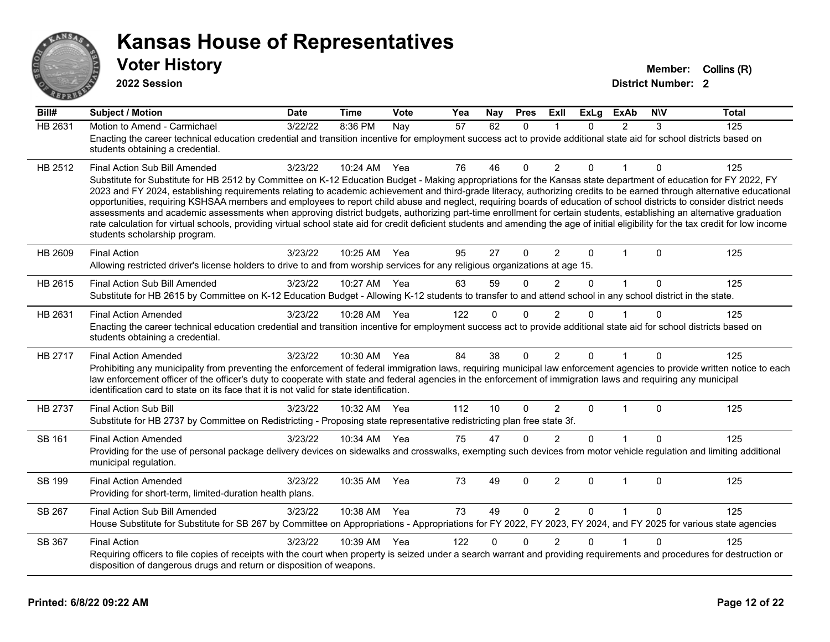

**2022 Session**

**Voter History Member:** Collins (R)

| Bill#          | <b>Subject / Motion</b>                                                                                                                                                                                                                                                                                                                                                                                                                                                                                                                                                                                                                                                                                                                                                                                                                                                                                                                               | <b>Date</b> | <b>Time</b>  | Vote | Yea | Nay      | <b>Pres</b>  | ExII           | <b>ExLg</b>  | <b>ExAb</b>    | <b>NIV</b>  | <b>Total</b> |
|----------------|-------------------------------------------------------------------------------------------------------------------------------------------------------------------------------------------------------------------------------------------------------------------------------------------------------------------------------------------------------------------------------------------------------------------------------------------------------------------------------------------------------------------------------------------------------------------------------------------------------------------------------------------------------------------------------------------------------------------------------------------------------------------------------------------------------------------------------------------------------------------------------------------------------------------------------------------------------|-------------|--------------|------|-----|----------|--------------|----------------|--------------|----------------|-------------|--------------|
| <b>HB 2631</b> | Motion to Amend - Carmichael<br>Enacting the career technical education credential and transition incentive for employment success act to provide additional state aid for school districts based on<br>students obtaining a credential.                                                                                                                                                                                                                                                                                                                                                                                                                                                                                                                                                                                                                                                                                                              | 3/22/22     | 8:36 PM      | Nay  | 57  | 62       | $\Omega$     | 1              | $\Omega$     | $\overline{2}$ | 3           | 125          |
| HB 2512        | Final Action Sub Bill Amended<br>Substitute for Substitute for HB 2512 by Committee on K-12 Education Budget - Making appropriations for the Kansas state department of education for FY 2022, FY<br>2023 and FY 2024, establishing requirements relating to academic achievement and third-grade literacy, authorizing credits to be earned through alternative educational<br>opportunities, requiring KSHSAA members and employees to report child abuse and neglect, requiring boards of education of school districts to consider district needs<br>assessments and academic assessments when approving district budgets, authorizing part-time enrollment for certain students, establishing an alternative graduation<br>rate calculation for virtual schools, providing virtual school state aid for credit deficient students and amending the age of initial eligibility for the tax credit for low income<br>students scholarship program. | 3/23/22     | 10:24 AM Yea |      | 76  | 46       | 0            | $\overline{2}$ | $\Omega$     |                | 0           | 125          |
| HB 2609        | <b>Final Action</b><br>Allowing restricted driver's license holders to drive to and from worship services for any religious organizations at age 15.                                                                                                                                                                                                                                                                                                                                                                                                                                                                                                                                                                                                                                                                                                                                                                                                  | 3/23/22     | 10:25 AM     | Yea  | 95  | 27       | 0            | $\overline{2}$ | $\Omega$     | 1              | $\Omega$    | 125          |
| HB 2615        | Final Action Sub Bill Amended<br>Substitute for HB 2615 by Committee on K-12 Education Budget - Allowing K-12 students to transfer to and attend school in any school district in the state.                                                                                                                                                                                                                                                                                                                                                                                                                                                                                                                                                                                                                                                                                                                                                          | 3/23/22     | 10:27 AM     | Yea  | 63  | 59       | $\Omega$     | $\overline{2}$ | 0            | $\mathbf{1}$   | $\mathbf 0$ | 125          |
| HB 2631        | <b>Final Action Amended</b><br>Enacting the career technical education credential and transition incentive for employment success act to provide additional state aid for school districts based on<br>students obtaining a credential.                                                                                                                                                                                                                                                                                                                                                                                                                                                                                                                                                                                                                                                                                                               | 3/23/22     | 10:28 AM     | Yea  | 122 | $\Omega$ | $\Omega$     | $\mathfrak{p}$ | U            |                | O           | 125          |
| HB 2717        | <b>Final Action Amended</b><br>Prohibiting any municipality from preventing the enforcement of federal immigration laws, requiring municipal law enforcement agencies to provide written notice to each<br>law enforcement officer of the officer's duty to cooperate with state and federal agencies in the enforcement of immigration laws and requiring any municipal<br>identification card to state on its face that it is not valid for state identification.                                                                                                                                                                                                                                                                                                                                                                                                                                                                                   | 3/23/22     | 10:30 AM     | Yea  | 84  | 38       | 0            | $\overline{2}$ | $\Omega$     | 1              | $\mathbf 0$ | 125          |
| HB 2737        | <b>Final Action Sub Bill</b><br>Substitute for HB 2737 by Committee on Redistricting - Proposing state representative redistricting plan free state 3f.                                                                                                                                                                                                                                                                                                                                                                                                                                                                                                                                                                                                                                                                                                                                                                                               | 3/23/22     | 10:32 AM     | Yea  | 112 | 10       | $\mathbf{0}$ | $\overline{2}$ | $\Omega$     | 1              | $\Omega$    | 125          |
| SB 161         | <b>Final Action Amended</b><br>Providing for the use of personal package delivery devices on sidewalks and crosswalks, exempting such devices from motor vehicle regulation and limiting additional<br>municipal regulation.                                                                                                                                                                                                                                                                                                                                                                                                                                                                                                                                                                                                                                                                                                                          | 3/23/22     | 10:34 AM     | Yea  | 75  | 47       | $\Omega$     | $\mathfrak{p}$ | $\Omega$     |                | $\Omega$    | 125          |
| SB 199         | <b>Final Action Amended</b><br>Providing for short-term, limited-duration health plans.                                                                                                                                                                                                                                                                                                                                                                                                                                                                                                                                                                                                                                                                                                                                                                                                                                                               | 3/23/22     | 10:35 AM     | Yea  | 73  | 49       | $\mathbf{0}$ | $\overline{2}$ | $\mathbf{0}$ | $\mathbf{1}$   | $\Omega$    | 125          |
| SB 267         | Final Action Sub Bill Amended<br>House Substitute for Substitute for SB 267 by Committee on Appropriations - Appropriations for FY 2022, FY 2023, FY 2024, and FY 2025 for various state agencies                                                                                                                                                                                                                                                                                                                                                                                                                                                                                                                                                                                                                                                                                                                                                     | 3/23/22     | 10:38 AM Yea |      | 73  | 49       | $\Omega$     | $\overline{2}$ | $\Omega$     | $\mathbf{1}$   | $\Omega$    | 125          |
| SB 367         | <b>Final Action</b><br>Requiring officers to file copies of receipts with the court when property is seized under a search warrant and providing requirements and procedures for destruction or<br>disposition of dangerous drugs and return or disposition of weapons.                                                                                                                                                                                                                                                                                                                                                                                                                                                                                                                                                                                                                                                                               | 3/23/22     | 10:39 AM     | Yea  | 122 | 0        | $\Omega$     | 2              | 0            |                | $\Omega$    | 125          |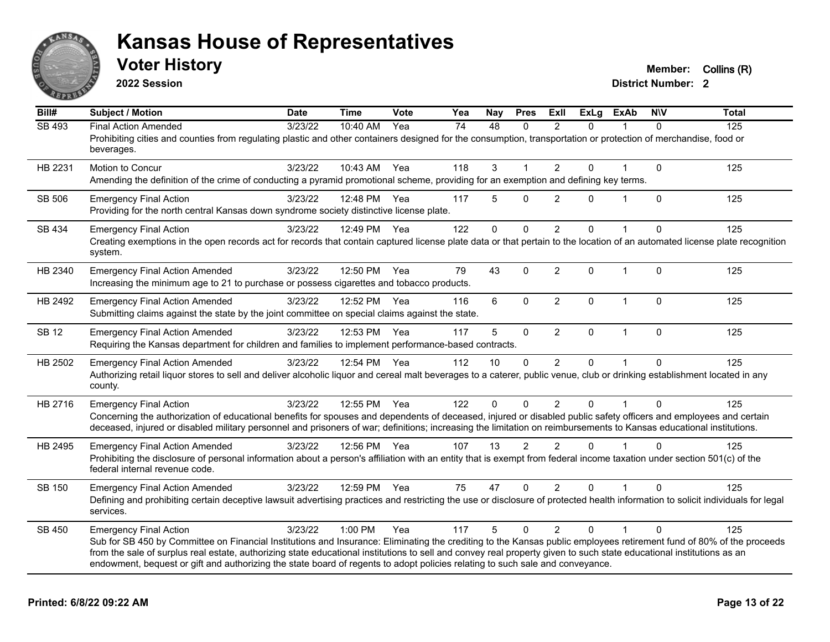

**2022 Session**

**Voter History Member:** Collins (R)

| Bill#        | Subject / Motion                                                                                                                                                                                                                                                                                                                                                                                                                                                                                               | <b>Date</b> | <b>Time</b>  | Vote | Yea | Nay         | <b>Pres</b>   | <b>Exll</b>    | <b>ExLg</b> | <b>ExAb</b>  | <b>NIV</b>   | <b>Total</b> |
|--------------|----------------------------------------------------------------------------------------------------------------------------------------------------------------------------------------------------------------------------------------------------------------------------------------------------------------------------------------------------------------------------------------------------------------------------------------------------------------------------------------------------------------|-------------|--------------|------|-----|-------------|---------------|----------------|-------------|--------------|--------------|--------------|
| SB 493       | <b>Final Action Amended</b><br>Prohibiting cities and counties from regulating plastic and other containers designed for the consumption, transportation or protection of merchandise, food or<br>beverages.                                                                                                                                                                                                                                                                                                   | 3/23/22     | 10:40 AM     | Yea  | 74  | 48          | 0             | 2              | 0           |              | $\Omega$     | 125          |
| HB 2231      | Motion to Concur<br>Amending the definition of the crime of conducting a pyramid promotional scheme, providing for an exemption and defining key terms.                                                                                                                                                                                                                                                                                                                                                        | 3/23/22     | 10:43 AM     | Yea  | 118 | 3           |               | 2              | $\Omega$    |              | $\mathbf{0}$ | 125          |
| SB 506       | <b>Emergency Final Action</b><br>Providing for the north central Kansas down syndrome society distinctive license plate.                                                                                                                                                                                                                                                                                                                                                                                       | 3/23/22     | 12:48 PM     | Yea  | 117 | 5           | $\mathbf{0}$  | $\overline{2}$ | $\Omega$    | $\mathbf 1$  | $\mathbf{0}$ | 125          |
| SB 434       | <b>Emergency Final Action</b><br>Creating exemptions in the open records act for records that contain captured license plate data or that pertain to the location of an automated license plate recognition<br>system.                                                                                                                                                                                                                                                                                         | 3/23/22     | 12:49 PM     | Yea  | 122 | $\mathbf 0$ | $\mathbf 0$   | $\overline{2}$ | $\Omega$    | 1            | $\Omega$     | 125          |
| HB 2340      | <b>Emergency Final Action Amended</b><br>Increasing the minimum age to 21 to purchase or possess cigarettes and tobacco products.                                                                                                                                                                                                                                                                                                                                                                              | 3/23/22     | 12:50 PM     | Yea  | 79  | 43          | $\Omega$      | 2              | $\Omega$    | $\mathbf 1$  | $\Omega$     | 125          |
| HB 2492      | <b>Emergency Final Action Amended</b><br>Submitting claims against the state by the joint committee on special claims against the state.                                                                                                                                                                                                                                                                                                                                                                       | 3/23/22     | 12:52 PM     | Yea  | 116 | 6           | $\Omega$      | 2              | $\Omega$    | $\mathbf 1$  | $\Omega$     | 125          |
| <b>SB 12</b> | <b>Emergency Final Action Amended</b><br>Requiring the Kansas department for children and families to implement performance-based contracts.                                                                                                                                                                                                                                                                                                                                                                   | 3/23/22     | 12:53 PM     | Yea  | 117 | 5           | $\pmb{0}$     | $\overline{2}$ | 0           | $\mathbf{1}$ | $\mathbf 0$  | 125          |
| HB 2502      | <b>Emergency Final Action Amended</b><br>Authorizing retail liquor stores to sell and deliver alcoholic liquor and cereal malt beverages to a caterer, public venue, club or drinking establishment located in any<br>county.                                                                                                                                                                                                                                                                                  | 3/23/22     | 12:54 PM     | Yea  | 112 | 10          | $\mathbf 0$   | $\overline{2}$ | 0           |              | $\Omega$     | 125          |
| HB 2716      | <b>Emergency Final Action</b><br>Concerning the authorization of educational benefits for spouses and dependents of deceased, injured or disabled public safety officers and employees and certain<br>deceased, injured or disabled military personnel and prisoners of war; definitions; increasing the limitation on reimbursements to Kansas educational institutions.                                                                                                                                      | 3/23/22     | 12:55 PM     | Yea  | 122 | $\Omega$    | $\Omega$      | 2              | $\Omega$    |              | $\Omega$     | 125          |
| HB 2495      | <b>Emergency Final Action Amended</b><br>Prohibiting the disclosure of personal information about a person's affiliation with an entity that is exempt from federal income taxation under section 501(c) of the<br>federal internal revenue code.                                                                                                                                                                                                                                                              | 3/23/22     | 12:56 PM     | Yea  | 107 | 13          | $\mathcal{P}$ | $\mathfrak{p}$ | $\Omega$    |              | $\Omega$     | 125          |
| SB 150       | <b>Emergency Final Action Amended</b><br>Defining and prohibiting certain deceptive lawsuit advertising practices and restricting the use or disclosure of protected health information to solicit individuals for legal<br>services.                                                                                                                                                                                                                                                                          | 3/23/22     | 12:59 PM Yea |      | 75  | 47          | $\mathbf{0}$  | $\overline{2}$ | $\Omega$    |              | $\Omega$     | 125          |
| SB 450       | <b>Emergency Final Action</b><br>Sub for SB 450 by Committee on Financial Institutions and Insurance: Eliminating the crediting to the Kansas public employees retirement fund of 80% of the proceeds<br>from the sale of surplus real estate, authorizing state educational institutions to sell and convey real property given to such state educational institutions as an<br>endowment, bequest or gift and authorizing the state board of regents to adopt policies relating to such sale and conveyance. | 3/23/22     | 1:00 PM      | Yea  | 117 | 5           | $\Omega$      | $\overline{2}$ | $\Omega$    |              | $\Omega$     | 125          |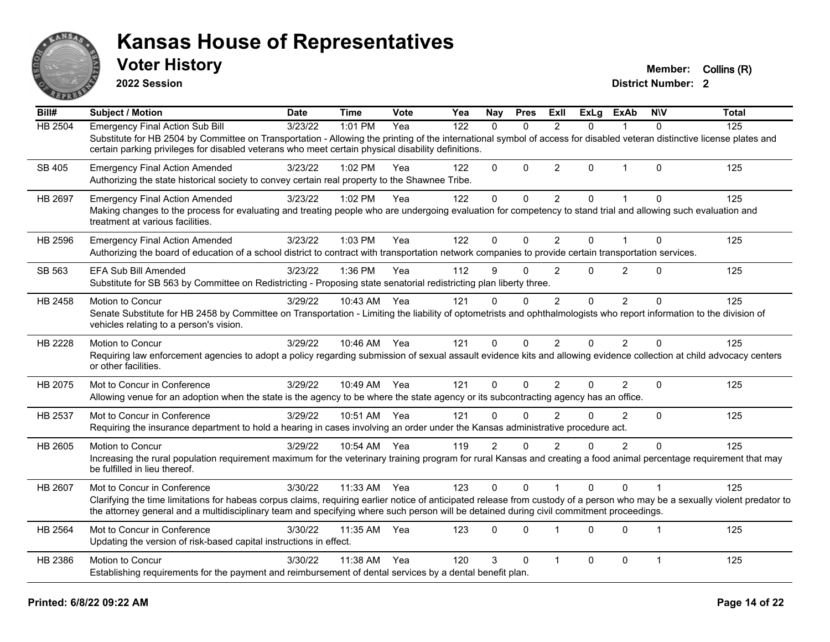

**2022 Session**

**Voter History Member:** Collins (R)

| Bill#          | <b>Subject / Motion</b>                                                                                                                                                                                                                                                                                                  | <b>Date</b> | <b>Time</b>  | Vote | Yea | <b>Nay</b>     | <b>Pres</b> | Exll           | <b>ExLg</b> | <b>ExAb</b>    | <b>NIV</b>     | <b>Total</b> |
|----------------|--------------------------------------------------------------------------------------------------------------------------------------------------------------------------------------------------------------------------------------------------------------------------------------------------------------------------|-------------|--------------|------|-----|----------------|-------------|----------------|-------------|----------------|----------------|--------------|
| <b>HB 2504</b> | <b>Emergency Final Action Sub Bill</b>                                                                                                                                                                                                                                                                                   | 3/23/22     | 1:01 PM      | Yea  | 122 | $\Omega$       | $\Omega$    | $\mathcal{P}$  | $\Omega$    |                | $\Omega$       | 125          |
|                | Substitute for HB 2504 by Committee on Transportation - Allowing the printing of the international symbol of access for disabled veteran distinctive license plates and<br>certain parking privileges for disabled veterans who meet certain physical disability definitions.                                            |             |              |      |     |                |             |                |             |                |                |              |
| SB 405         | <b>Emergency Final Action Amended</b><br>Authorizing the state historical society to convey certain real property to the Shawnee Tribe.                                                                                                                                                                                  | 3/23/22     | 1:02 PM      | Yea  | 122 | $\Omega$       | $\Omega$    | $\overline{2}$ | $\Omega$    | $\mathbf{1}$   | $\Omega$       | 125          |
| HB 2697        | <b>Emergency Final Action Amended</b>                                                                                                                                                                                                                                                                                    | 3/23/22     | 1:02 PM      | Yea  | 122 | $\mathbf 0$    | $\mathbf 0$ | $\overline{c}$ | 0           | 1              | $\Omega$       | 125          |
|                | Making changes to the process for evaluating and treating people who are undergoing evaluation for competency to stand trial and allowing such evaluation and<br>treatment at various facilities.                                                                                                                        |             |              |      |     |                |             |                |             |                |                |              |
| HB 2596        | <b>Emergency Final Action Amended</b>                                                                                                                                                                                                                                                                                    | 3/23/22     | 1:03 PM      | Yea  | 122 | 0              | $\Omega$    | $\overline{2}$ | $\Omega$    | 1              | $\Omega$       | 125          |
|                | Authorizing the board of education of a school district to contract with transportation network companies to provide certain transportation services.                                                                                                                                                                    |             |              |      |     |                |             |                |             |                |                |              |
| SB 563         | <b>EFA Sub Bill Amended</b>                                                                                                                                                                                                                                                                                              | 3/23/22     | 1:36 PM      | Yea  | 112 | 9              | $\Omega$    | 2              | 0           | 2              | $\Omega$       | 125          |
|                | Substitute for SB 563 by Committee on Redistricting - Proposing state senatorial redistricting plan liberty three.                                                                                                                                                                                                       |             |              |      |     |                |             |                |             |                |                |              |
| HB 2458        | Motion to Concur                                                                                                                                                                                                                                                                                                         | 3/29/22     | 10:43 AM     | Yea  | 121 | $\Omega$       | $\Omega$    | $\overline{2}$ | $\Omega$    | $\overline{2}$ | $\Omega$       | 125          |
|                | Senate Substitute for HB 2458 by Committee on Transportation - Limiting the liability of optometrists and ophthalmologists who report information to the division of<br>vehicles relating to a person's vision.                                                                                                          |             |              |      |     |                |             |                |             |                |                |              |
| HB 2228        | Motion to Concur                                                                                                                                                                                                                                                                                                         | 3/29/22     | 10:46 AM Yea |      | 121 | $\Omega$       | $\Omega$    | $\overline{2}$ | 0           | $\overline{2}$ | $\Omega$       | 125          |
|                | Requiring law enforcement agencies to adopt a policy regarding submission of sexual assault evidence kits and allowing evidence collection at child advocacy centers<br>or other facilities.                                                                                                                             |             |              |      |     |                |             |                |             |                |                |              |
| HB 2075        | Mot to Concur in Conference                                                                                                                                                                                                                                                                                              | 3/29/22     | 10:49 AM     | Yea  | 121 | $\mathbf{0}$   | $\Omega$    | 2              | 0           | $\overline{2}$ | $\mathbf{0}$   | 125          |
|                | Allowing venue for an adoption when the state is the agency to be where the state agency or its subcontracting agency has an office.                                                                                                                                                                                     |             |              |      |     |                |             |                |             |                |                |              |
| HB 2537        | Mot to Concur in Conference                                                                                                                                                                                                                                                                                              | 3/29/22     | 10:51 AM     | Yea  | 121 | $\Omega$       | $\Omega$    | 2              | $\Omega$    | 2              | $\mathbf{0}$   | 125          |
|                | Requiring the insurance department to hold a hearing in cases involving an order under the Kansas administrative procedure act.                                                                                                                                                                                          |             |              |      |     |                |             |                |             |                |                |              |
| HB 2605        | Motion to Concur                                                                                                                                                                                                                                                                                                         | 3/29/22     | 10:54 AM     | Yea  | 119 | $\overline{2}$ | $\Omega$    | $\overline{2}$ | 0           | $\overline{2}$ | $\Omega$       | 125          |
|                | Increasing the rural population requirement maximum for the veterinary training program for rural Kansas and creating a food animal percentage requirement that may<br>be fulfilled in lieu thereof.                                                                                                                     |             |              |      |     |                |             |                |             |                |                |              |
| HB 2607        | Mot to Concur in Conference                                                                                                                                                                                                                                                                                              | 3/30/22     | 11:33 AM     | Yea  | 123 | $\mathbf{0}$   | $\Omega$    |                | $\Omega$    | $\Omega$       |                | 125          |
|                | Clarifying the time limitations for habeas corpus claims, requiring earlier notice of anticipated release from custody of a person who may be a sexually violent predator to<br>the attorney general and a multidisciplinary team and specifying where such person will be detained during civil commitment proceedings. |             |              |      |     |                |             |                |             |                |                |              |
| HB 2564        | Mot to Concur in Conference                                                                                                                                                                                                                                                                                              | 3/30/22     | 11:35 AM     | Yea  | 123 | $\Omega$       | $\Omega$    |                | 0           | $\Omega$       | $\overline{1}$ | 125          |
|                | Updating the version of risk-based capital instructions in effect.                                                                                                                                                                                                                                                       |             |              |      |     |                |             |                |             |                |                |              |
| HB 2386        | Motion to Concur                                                                                                                                                                                                                                                                                                         | 3/30/22     | 11:38 AM     | Yea  | 120 | 3              | $\Omega$    | -1             | $\Omega$    | $\mathbf 0$    | $\mathbf{1}$   | 125          |
|                | Establishing requirements for the payment and reimbursement of dental services by a dental benefit plan.                                                                                                                                                                                                                 |             |              |      |     |                |             |                |             |                |                |              |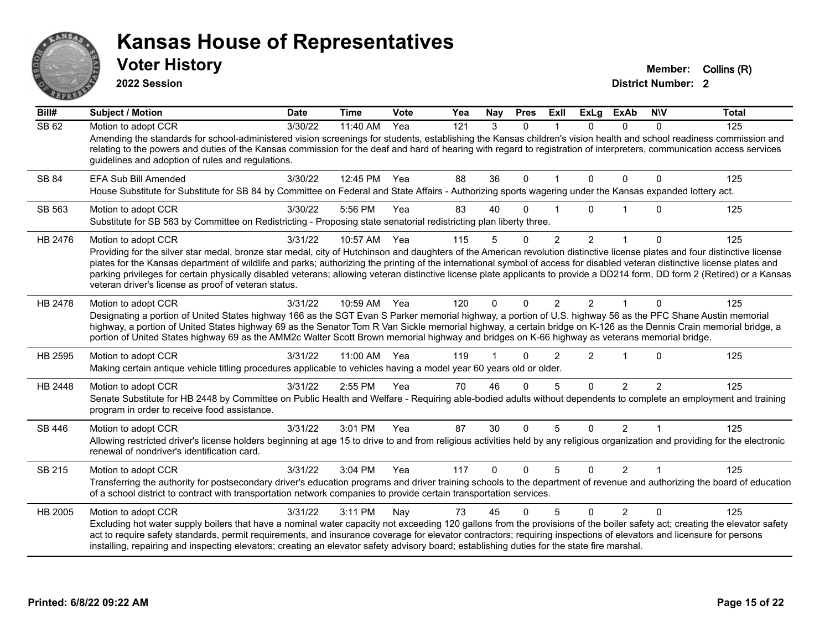

**2022 Session**

**Voter History Member: Collins (R)** 

| Bill#   | <b>Subject / Motion</b>                                                                                                                                                                                                                                                                                                                                                                                                                                                                                                                                                                                                 | <b>Date</b> | <b>Time</b>  | <b>Vote</b> | Yea | Nay      | <b>Pres</b> | ExII           | <b>ExLg</b>    | <b>ExAb</b>    | <b>NIV</b>    | <b>Total</b> |
|---------|-------------------------------------------------------------------------------------------------------------------------------------------------------------------------------------------------------------------------------------------------------------------------------------------------------------------------------------------------------------------------------------------------------------------------------------------------------------------------------------------------------------------------------------------------------------------------------------------------------------------------|-------------|--------------|-------------|-----|----------|-------------|----------------|----------------|----------------|---------------|--------------|
| SB62    | Motion to adopt CCR<br>Amending the standards for school-administered vision screenings for students, establishing the Kansas children's vision health and school readiness commission and<br>relating to the powers and duties of the Kansas commission for the deaf and hard of hearing with regard to registration of interpreters, communication access services<br>guidelines and adoption of rules and regulations.                                                                                                                                                                                               | 3/30/22     | 11:40 AM     | Yea         | 121 | 3        | $\Omega$    |                | 0              | $\Omega$       | $\Omega$      | 125          |
| SB 84   | EFA Sub Bill Amended<br>House Substitute for Substitute for SB 84 by Committee on Federal and State Affairs - Authorizing sports wagering under the Kansas expanded lottery act.                                                                                                                                                                                                                                                                                                                                                                                                                                        | 3/30/22     | 12:45 PM Yea |             | 88  | 36       | $\Omega$    |                | $\Omega$       | $\Omega$       | 0             | 125          |
| SB 563  | Motion to adopt CCR<br>Substitute for SB 563 by Committee on Redistricting - Proposing state senatorial redistricting plan liberty three.                                                                                                                                                                                                                                                                                                                                                                                                                                                                               | 3/30/22     | 5:56 PM      | Yea         | 83  | 40       | $\Omega$    |                | U              |                | $\Omega$      | 125          |
| HB 2476 | Motion to adopt CCR<br>Providing for the silver star medal, bronze star medal, city of Hutchinson and daughters of the American revolution distinctive license plates and four distinctive license<br>plates for the Kansas department of wildlife and parks; authorizing the printing of the international symbol of access for disabled veteran distinctive license plates and<br>parking privileges for certain physically disabled veterans; allowing veteran distinctive license plate applicants to provide a DD214 form, DD form 2 (Retired) or a Kansas<br>veteran driver's license as proof of veteran status. | 3/31/22     | 10:57 AM     | Yea         | 115 | 5        | 0           | $\overline{2}$ | $\overline{2}$ |                | 0             | 125          |
| HB 2478 | Motion to adopt CCR<br>Designating a portion of United States highway 166 as the SGT Evan S Parker memorial highway, a portion of U.S. highway 56 as the PFC Shane Austin memorial<br>highway, a portion of United States highway 69 as the Senator Tom R Van Sickle memorial highway, a certain bridge on K-126 as the Dennis Crain memorial bridge, a<br>portion of United States highway 69 as the AMM2c Walter Scott Brown memorial highway and bridges on K-66 highway as veterans memorial bridge.                                                                                                                | 3/31/22     | 10:59 AM Yea |             | 120 | $\Omega$ | $\Omega$    | 2              | $\overline{2}$ |                | $\Omega$      | 125          |
| HB 2595 | Motion to adopt CCR<br>Making certain antique vehicle titling procedures applicable to vehicles having a model year 60 years old or older.                                                                                                                                                                                                                                                                                                                                                                                                                                                                              | 3/31/22     | 11:00 AM     | - Yea       | 119 |          | $\Omega$    | $\mathfrak{p}$ | $\overline{2}$ |                | $\Omega$      | 125          |
| HB 2448 | Motion to adopt CCR<br>Senate Substitute for HB 2448 by Committee on Public Health and Welfare - Requiring able-bodied adults without dependents to complete an employment and training<br>program in order to receive food assistance.                                                                                                                                                                                                                                                                                                                                                                                 | 3/31/22     | 2:55 PM      | Yea         | 70  | 46       | $\Omega$    | 5              | $\Omega$       | $\mathfrak{p}$ | $\mathcal{P}$ | 125          |
| SB 446  | Motion to adopt CCR<br>Allowing restricted driver's license holders beginning at age 15 to drive to and from religious activities held by any religious organization and providing for the electronic<br>renewal of nondriver's identification card.                                                                                                                                                                                                                                                                                                                                                                    | 3/31/22     | 3:01 PM      | Yea         | 87  | 30       | $\mathbf 0$ | 5              | $\Omega$       | $\overline{2}$ | 1             | 125          |
| SB 215  | Motion to adopt CCR<br>Transferring the authority for postsecondary driver's education programs and driver training schools to the department of revenue and authorizing the board of education<br>of a school district to contract with transportation network companies to provide certain transportation services.                                                                                                                                                                                                                                                                                                   | 3/31/22     | 3:04 PM      | Yea         | 117 | $\Omega$ | $\Omega$    | 5              | $\Omega$       | $\mathcal{P}$  | $\mathbf 1$   | 125          |
| HB 2005 | Motion to adopt CCR<br>Excluding hot water supply boilers that have a nominal water capacity not exceeding 120 gallons from the provisions of the boiler safety act; creating the elevator safety<br>act to require safety standards, permit requirements, and insurance coverage for elevator contractors; requiring inspections of elevators and licensure for persons<br>installing, repairing and inspecting elevators; creating an elevator safety advisory board; establishing duties for the state fire marshal.                                                                                                 | 3/31/22     | 3:11 PM      | Nay         | 73  | 45       | $\Omega$    | 5              | $\Omega$       | $\mathcal{P}$  | $\Omega$      | 125          |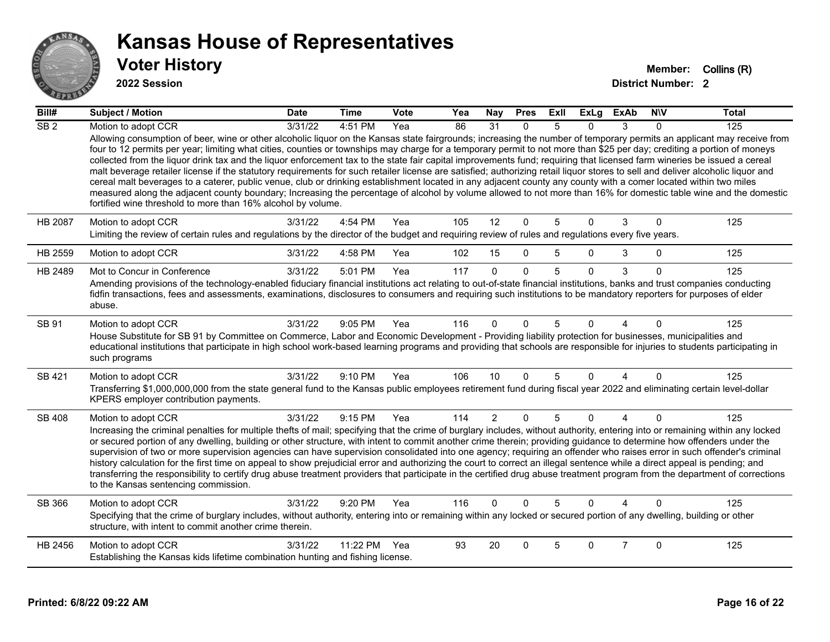

#### **2022 Session**

| Bill#            | <b>Subject / Motion</b>                                                                                                                                                                                                                                                                                                                                                                                                                                                                                                                                                                                                                                                                                                                                                                                                                                                                                                                                     | <b>Date</b> | <b>Time</b> | Vote | Yea | Nay            | <b>Pres</b>  | ExII | <b>ExLg</b>  | <b>ExAb</b>            | <b>NIV</b> | <b>Total</b> |
|------------------|-------------------------------------------------------------------------------------------------------------------------------------------------------------------------------------------------------------------------------------------------------------------------------------------------------------------------------------------------------------------------------------------------------------------------------------------------------------------------------------------------------------------------------------------------------------------------------------------------------------------------------------------------------------------------------------------------------------------------------------------------------------------------------------------------------------------------------------------------------------------------------------------------------------------------------------------------------------|-------------|-------------|------|-----|----------------|--------------|------|--------------|------------------------|------------|--------------|
| $\overline{SB2}$ | Motion to adopt CCR<br>Allowing consumption of beer, wine or other alcoholic liquor on the Kansas state fairgrounds; increasing the number of temporary permits an applicant may receive from<br>four to 12 permits per year; limiting what cities, counties or townships may charge for a temporary permit to not more than \$25 per day; crediting a portion of moneys<br>collected from the liquor drink tax and the liquor enforcement tax to the state fair capital improvements fund; requiring that licensed farm wineries be issued a cereal<br>malt beverage retailer license if the statutory requirements for such retailer license are satisfied; authorizing retail liquor stores to sell and deliver alcoholic liquor and<br>cereal malt beverages to a caterer, public venue, club or drinking establishment located in any adjacent county any county with a comer located within two miles                                                 | 3/31/22     | $4:51$ PM   | Yea  | 86  | 31             | $\mathbf{0}$ | 5    | 0            | 3                      | 0          | 125          |
|                  | measured along the adjacent county boundary; Increasing the percentage of alcohol by volume allowed to not more than 16% for domestic table wine and the domestic<br>fortified wine threshold to more than 16% alcohol by volume.                                                                                                                                                                                                                                                                                                                                                                                                                                                                                                                                                                                                                                                                                                                           |             |             |      |     |                |              |      |              |                        |            |              |
| HB 2087          | Motion to adopt CCR<br>Limiting the review of certain rules and regulations by the director of the budget and requiring review of rules and regulations every five years.                                                                                                                                                                                                                                                                                                                                                                                                                                                                                                                                                                                                                                                                                                                                                                                   | 3/31/22     | 4:54 PM     | Yea  | 105 | 12             | $\Omega$     | 5    | $\mathbf{0}$ | 3                      | $\Omega$   | 125          |
| HB 2559          | Motion to adopt CCR                                                                                                                                                                                                                                                                                                                                                                                                                                                                                                                                                                                                                                                                                                                                                                                                                                                                                                                                         | 3/31/22     | 4:58 PM     | Yea  | 102 | 15             | $\Omega$     | 5    | $\Omega$     | 3                      | 0          | 125          |
| HB 2489          | Mot to Concur in Conference<br>Amending provisions of the technology-enabled fiduciary financial institutions act relating to out-of-state financial institutions, banks and trust companies conducting<br>fidfin transactions, fees and assessments, examinations, disclosures to consumers and requiring such institutions to be mandatory reporters for purposes of elder<br>abuse.                                                                                                                                                                                                                                                                                                                                                                                                                                                                                                                                                                      | 3/31/22     | 5:01 PM     | Yea  | 117 | $\Omega$       | $\Omega$     | 5    | $\Omega$     | 3                      | $\Omega$   | 125          |
| <b>SB 91</b>     | Motion to adopt CCR<br>House Substitute for SB 91 by Committee on Commerce, Labor and Economic Development - Providing liability protection for businesses, municipalities and<br>educational institutions that participate in high school work-based learning programs and providing that schools are responsible for injuries to students participating in<br>such programs                                                                                                                                                                                                                                                                                                                                                                                                                                                                                                                                                                               | 3/31/22     | 9:05 PM     | Yea  | 116 | U              |              | 5    | O            |                        | 0          | 125          |
| SB 421           | Motion to adopt CCR<br>Transferring \$1,000,000,000 from the state general fund to the Kansas public employees retirement fund during fiscal year 2022 and eliminating certain level-dollar<br>KPERS employer contribution payments.                                                                                                                                                                                                                                                                                                                                                                                                                                                                                                                                                                                                                                                                                                                        | 3/31/22     | 9:10 PM     | Yea  | 106 | 10             | 0            | 5    | $\Omega$     | $\overline{4}$         | $\Omega$   | 125          |
| <b>SB 408</b>    | Motion to adopt CCR<br>Increasing the criminal penalties for multiple thefts of mail; specifying that the crime of burglary includes, without authority, entering into or remaining within any locked<br>or secured portion of any dwelling, building or other structure, with intent to commit another crime therein; providing guidance to determine how offenders under the<br>supervision of two or more supervision agencies can have supervision consolidated into one agency; requiring an offender who raises error in such offender's criminal<br>history calculation for the first time on appeal to show prejudicial error and authorizing the court to correct an illegal sentence while a direct appeal is pending; and<br>transferring the responsibility to certify drug abuse treatment providers that participate in the certified drug abuse treatment program from the department of corrections<br>to the Kansas sentencing commission. | 3/31/22     | 9:15 PM     | Yea  | 114 | $\overline{2}$ | $\mathbf{0}$ | 5    | $\Omega$     | $\boldsymbol{\Lambda}$ | $\Omega$   | 125          |
| SB 366           | Motion to adopt CCR<br>Specifying that the crime of burglary includes, without authority, entering into or remaining within any locked or secured portion of any dwelling, building or other<br>structure, with intent to commit another crime therein.                                                                                                                                                                                                                                                                                                                                                                                                                                                                                                                                                                                                                                                                                                     | 3/31/22     | 9:20 PM     | Yea  | 116 | $\overline{0}$ | $\Omega$     | 5    | $\Omega$     | $\Lambda$              | $\Omega$   | 125          |
| HB 2456          | Motion to adopt CCR<br>Establishing the Kansas kids lifetime combination hunting and fishing license.                                                                                                                                                                                                                                                                                                                                                                                                                                                                                                                                                                                                                                                                                                                                                                                                                                                       | 3/31/22     | 11:22 PM    | Yea  | 93  | 20             | $\Omega$     | 5    | $\Omega$     | $\overline{7}$         | $\Omega$   | 125          |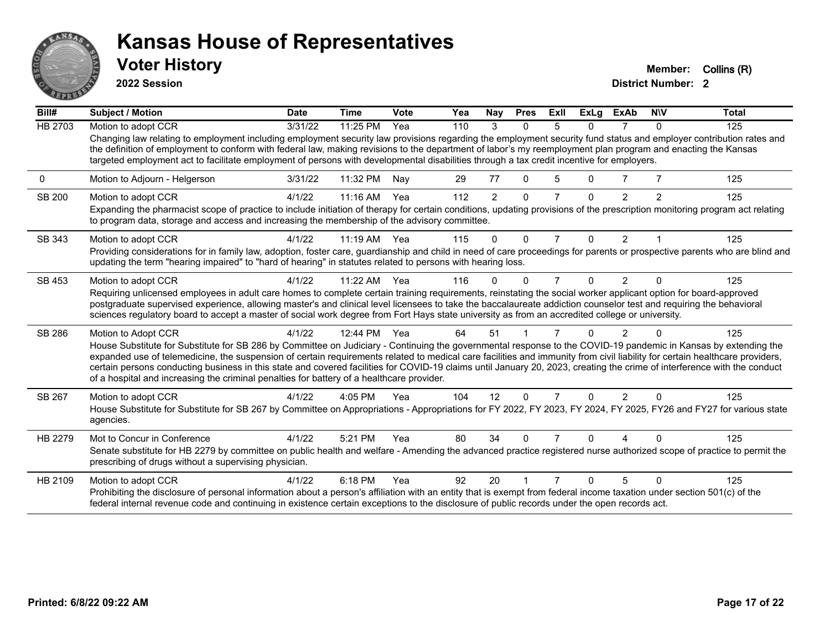

**2022 Session**

**Voter History Member:** Collins (R)

| Bill#          | <b>Subject / Motion</b>                                                                                                                                                                                                                                                                                                                                                                                                                                                         | <b>Date</b> | <b>Time</b> | <b>Vote</b> | Yea | Nay            | <b>Pres</b>  | ExII           | <b>ExLg</b> | ExAb           | <b>NIV</b> | <b>Total</b> |
|----------------|---------------------------------------------------------------------------------------------------------------------------------------------------------------------------------------------------------------------------------------------------------------------------------------------------------------------------------------------------------------------------------------------------------------------------------------------------------------------------------|-------------|-------------|-------------|-----|----------------|--------------|----------------|-------------|----------------|------------|--------------|
| <b>HB 2703</b> | Motion to adopt CCR                                                                                                                                                                                                                                                                                                                                                                                                                                                             | 3/31/22     | 11:25 PM    | Yea         | 110 | 3              | $\Omega$     | 5              | 0           |                | $\Omega$   | 125          |
|                | Changing law relating to employment including employment security law provisions regarding the employment security fund status and employer contribution rates and<br>the definition of employment to conform with federal law, making revisions to the department of labor's my reemployment plan program and enacting the Kansas<br>targeted employment act to facilitate employment of persons with developmental disabilities through a tax credit incentive for employers. |             |             |             |     |                |              |                |             |                |            |              |
| 0              | Motion to Adjourn - Helgerson                                                                                                                                                                                                                                                                                                                                                                                                                                                   | 3/31/22     | 11:32 PM    | Nay         | 29  | 77             | $\Omega$     | 5              | 0           |                |            | 125          |
| SB 200         | Motion to adopt CCR                                                                                                                                                                                                                                                                                                                                                                                                                                                             | 4/1/22      | 11:16 AM    | Yea         | 112 | $\overline{2}$ | $\Omega$     | $\overline{7}$ | 0           | 2              | 2          | 125          |
|                | Expanding the pharmacist scope of practice to include initiation of therapy for certain conditions, updating provisions of the prescription monitoring program act relating<br>to program data, storage and access and increasing the membership of the advisory committee.                                                                                                                                                                                                     |             |             |             |     |                |              |                |             |                |            |              |
| SB 343         | Motion to adopt CCR                                                                                                                                                                                                                                                                                                                                                                                                                                                             | 4/1/22      | $11:19$ AM  | Yea         | 115 | 0              | $\Omega$     | 7              | 0           | 2              |            | 125          |
|                | Providing considerations for in family law, adoption, foster care, guardianship and child in need of care proceedings for parents or prospective parents who are blind and<br>updating the term "hearing impaired" to "hard of hearing" in statutes related to persons with hearing loss.                                                                                                                                                                                       |             |             |             |     |                |              |                |             |                |            |              |
| SB 453         | Motion to adopt CCR                                                                                                                                                                                                                                                                                                                                                                                                                                                             | 4/1/22      | 11:22 AM    | Yea         | 116 | $\Omega$       | <sup>0</sup> | 7              | 0           | $\overline{2}$ | $\Omega$   | 125          |
|                | Requiring unlicensed employees in adult care homes to complete certain training requirements, reinstating the social worker applicant option for board-approved                                                                                                                                                                                                                                                                                                                 |             |             |             |     |                |              |                |             |                |            |              |
|                | postgraduate supervised experience, allowing master's and clinical level licensees to take the baccalaureate addiction counselor test and requiring the behavioral<br>sciences regulatory board to accept a master of social work degree from Fort Hays state university as from an accredited college or university.                                                                                                                                                           |             |             |             |     |                |              |                |             |                |            |              |
|                |                                                                                                                                                                                                                                                                                                                                                                                                                                                                                 |             |             |             |     |                |              |                |             |                |            |              |
| SB 286         | Motion to Adopt CCR                                                                                                                                                                                                                                                                                                                                                                                                                                                             | 4/1/22      | 12:44 PM    | Yea         | 64  | 51             |              |                |             | 2              |            | 125          |
|                | House Substitute for Substitute for SB 286 by Committee on Judiciary - Continuing the governmental response to the COVID-19 pandemic in Kansas by extending the<br>expanded use of telemedicine, the suspension of certain requirements related to medical care facilities and immunity from civil liability for certain healthcare providers,                                                                                                                                  |             |             |             |     |                |              |                |             |                |            |              |
|                | certain persons conducting business in this state and covered facilities for COVID-19 claims until January 20, 2023, creating the crime of interference with the conduct                                                                                                                                                                                                                                                                                                        |             |             |             |     |                |              |                |             |                |            |              |
|                | of a hospital and increasing the criminal penalties for battery of a healthcare provider.                                                                                                                                                                                                                                                                                                                                                                                       |             |             |             |     |                |              |                |             |                |            |              |
| SB 267         | Motion to adopt CCR                                                                                                                                                                                                                                                                                                                                                                                                                                                             | 4/1/22      | 4:05 PM     | Yea         | 104 | 12             | $\Omega$     | 7              | 0           | $\overline{2}$ | $\Omega$   | 125          |
|                | House Substitute for Substitute for SB 267 by Committee on Appropriations - Appropriations for FY 2022, FY 2023, FY 2024, FY 2025, FY26 and FY27 for various state<br>agencies.                                                                                                                                                                                                                                                                                                 |             |             |             |     |                |              |                |             |                |            |              |
| HB 2279        | Mot to Concur in Conference                                                                                                                                                                                                                                                                                                                                                                                                                                                     | 4/1/22      | 5:21 PM     | Yea         | 80  | 34             | O            |                |             |                |            | 125          |
|                | Senate substitute for HB 2279 by committee on public health and welfare - Amending the advanced practice registered nurse authorized scope of practice to permit the<br>prescribing of drugs without a supervising physician.                                                                                                                                                                                                                                                   |             |             |             |     |                |              |                |             |                |            |              |
| HB 2109        | Motion to adopt CCR                                                                                                                                                                                                                                                                                                                                                                                                                                                             | 4/1/22      | 6:18 PM     | Yea         | 92  | 20             |              |                |             |                | ∩          | 125          |
|                | Prohibiting the disclosure of personal information about a person's affiliation with an entity that is exempt from federal income taxation under section 501(c) of the<br>federal internal revenue code and continuing in existence certain exceptions to the disclosure of public records under the open records act.                                                                                                                                                          |             |             |             |     |                |              |                |             |                |            |              |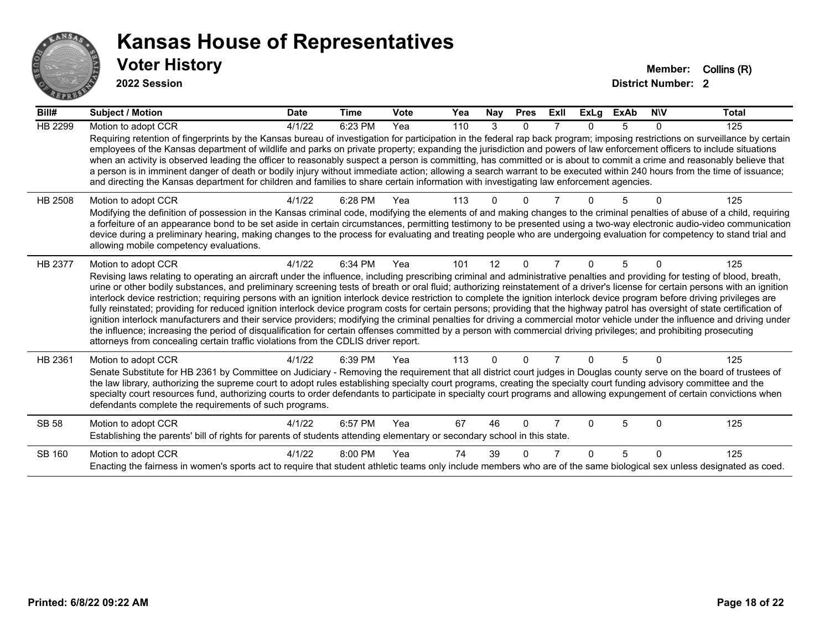

#### **2022 Session**

| Bill#          | Subject / Motion                                                                                                                                                                                                                                                                                                                                                                                                                                                                                                                                                                                                                                                                                                                                                                                                                                                                                                                                                                                                                                                                                                                                                                                      | <b>Date</b> | <b>Time</b> | Vote | Yea | <b>Nay</b>   | <b>Pres</b> | ExII | <b>ExLg</b> | <b>ExAb</b> | <b>NIV</b> | <b>Total</b> |
|----------------|-------------------------------------------------------------------------------------------------------------------------------------------------------------------------------------------------------------------------------------------------------------------------------------------------------------------------------------------------------------------------------------------------------------------------------------------------------------------------------------------------------------------------------------------------------------------------------------------------------------------------------------------------------------------------------------------------------------------------------------------------------------------------------------------------------------------------------------------------------------------------------------------------------------------------------------------------------------------------------------------------------------------------------------------------------------------------------------------------------------------------------------------------------------------------------------------------------|-------------|-------------|------|-----|--------------|-------------|------|-------------|-------------|------------|--------------|
| HB 2299        | Motion to adopt CCR<br>Requiring retention of fingerprints by the Kansas bureau of investigation for participation in the federal rap back program; imposing restrictions on surveillance by certain<br>employees of the Kansas department of wildlife and parks on private property; expanding the jurisdiction and powers of law enforcement officers to include situations<br>when an activity is observed leading the officer to reasonably suspect a person is committing, has committed or is about to commit a crime and reasonably believe that<br>a person is in imminent danger of death or bodily injury without immediate action; allowing a search warrant to be executed within 240 hours from the time of issuance;<br>and directing the Kansas department for children and families to share certain information with investigating law enforcement agencies.                                                                                                                                                                                                                                                                                                                         | 4/1/22      | 6:23 PM     | Yea  | 110 | 3            | $\Omega$    |      | $\Omega$    | 5           | 0          | 125          |
| HB 2508        | Motion to adopt CCR<br>Modifying the definition of possession in the Kansas criminal code, modifying the elements of and making changes to the criminal penalties of abuse of a child, requiring<br>a forfeiture of an appearance bond to be set aside in certain circumstances, permitting testimony to be presented using a two-way electronic audio-video communication<br>device during a preliminary hearing, making changes to the process for evaluating and treating people who are undergoing evaluation for competency to stand trial and<br>allowing mobile competency evaluations.                                                                                                                                                                                                                                                                                                                                                                                                                                                                                                                                                                                                        | 4/1/22      | 6:28 PM     | Yea  | 113 |              |             |      |             |             |            | 125          |
| <b>HB 2377</b> | Motion to adopt CCR<br>Revising laws relating to operating an aircraft under the influence, including prescribing criminal and administrative penalties and providing for testing of blood, breath,<br>urine or other bodily substances, and preliminary screening tests of breath or oral fluid; authorizing reinstatement of a driver's license for certain persons with an ignition<br>interlock device restriction; requiring persons with an ignition interlock device restriction to complete the ignition interlock device program before driving privileges are<br>fully reinstated; providing for reduced ignition interlock device program costs for certain persons; providing that the highway patrol has oversight of state certification of<br>ignition interlock manufacturers and their service providers; modifying the criminal penalties for driving a commercial motor vehicle under the influence and driving under<br>the influence; increasing the period of disqualification for certain offenses committed by a person with commercial driving privileges; and prohibiting prosecuting<br>attorneys from concealing certain traffic violations from the CDLIS driver report. | 4/1/22      | 6:34 PM     | Yea  | 101 | 12           | $\Omega$    |      | $\Omega$    | 5           | ŋ          | 125          |
| HB 2361        | Motion to adopt CCR<br>Senate Substitute for HB 2361 by Committee on Judiciary - Removing the requirement that all district court judges in Douglas county serve on the board of trustees of<br>the law library, authorizing the supreme court to adopt rules establishing specialty court programs, creating the specialty court funding advisory committee and the<br>specialty court resources fund, authorizing courts to order defendants to participate in specialty court programs and allowing expungement of certain convictions when<br>defendants complete the requirements of such programs.                                                                                                                                                                                                                                                                                                                                                                                                                                                                                                                                                                                              | 4/1/22      | 6:39 PM     | Yea  | 113 | <sup>n</sup> |             |      | 0           | 5           | U          | 125          |
| <b>SB 58</b>   | Motion to adopt CCR<br>Establishing the parents' bill of rights for parents of students attending elementary or secondary school in this state.                                                                                                                                                                                                                                                                                                                                                                                                                                                                                                                                                                                                                                                                                                                                                                                                                                                                                                                                                                                                                                                       | 4/1/22      | 6:57 PM     | Yea  | 67  | 46           | 0           |      | 0           | 5           | $\Omega$   | 125          |
| SB 160         | Motion to adopt CCR<br>Enacting the fairness in women's sports act to require that student athletic teams only include members who are of the same biological sex unless designated as coed.                                                                                                                                                                                                                                                                                                                                                                                                                                                                                                                                                                                                                                                                                                                                                                                                                                                                                                                                                                                                          | 4/1/22      | 8:00 PM     | Yea  | 74  | 39           |             |      | 0           | 5           | $\Omega$   | 125          |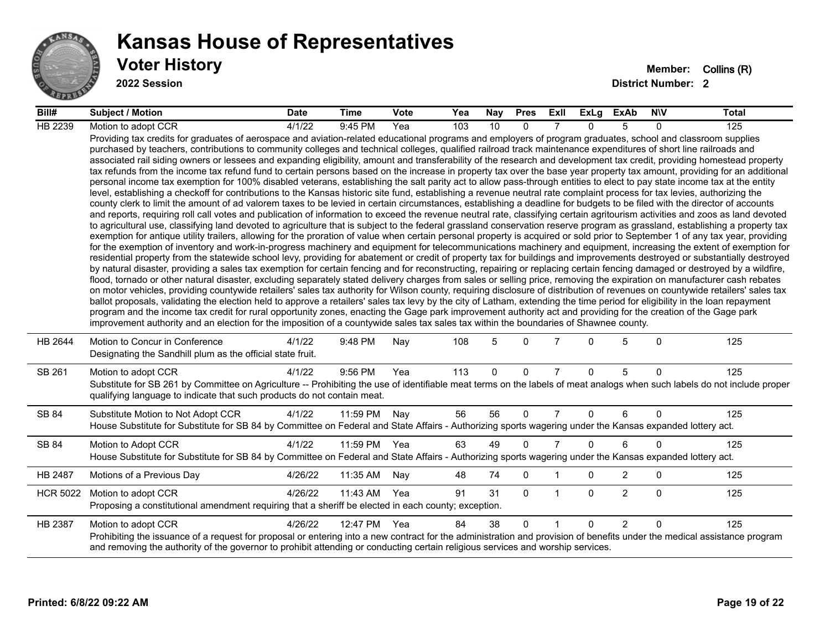

**2022 Session**

| Bill#           | Subject / Motion                                                                                                                                                                                                                                                                                                                                                                                                                                                                                                                                                                                                                                                                                                                                                                                                                                                                                                                                                                                                                                                                                                                                                                                                                                                                                                                                                                                                                                                                                                                                                                                                                                                                                                                                                                                                                                                                                                                                                                                                                                                                                                                                                                                                                                                                                                                                                                                                                                                                                                                                                                                                                                                                                                                                                                                                                                                                                                                                                                                                                                                                                                                                                            | <b>Date</b> | <b>Time</b>  | Vote | Yea | Nay         | <b>Pres</b> | ExII           | ExLg     | <b>ExAb</b>    | <b>NIV</b>   | <b>Total</b> |
|-----------------|-----------------------------------------------------------------------------------------------------------------------------------------------------------------------------------------------------------------------------------------------------------------------------------------------------------------------------------------------------------------------------------------------------------------------------------------------------------------------------------------------------------------------------------------------------------------------------------------------------------------------------------------------------------------------------------------------------------------------------------------------------------------------------------------------------------------------------------------------------------------------------------------------------------------------------------------------------------------------------------------------------------------------------------------------------------------------------------------------------------------------------------------------------------------------------------------------------------------------------------------------------------------------------------------------------------------------------------------------------------------------------------------------------------------------------------------------------------------------------------------------------------------------------------------------------------------------------------------------------------------------------------------------------------------------------------------------------------------------------------------------------------------------------------------------------------------------------------------------------------------------------------------------------------------------------------------------------------------------------------------------------------------------------------------------------------------------------------------------------------------------------------------------------------------------------------------------------------------------------------------------------------------------------------------------------------------------------------------------------------------------------------------------------------------------------------------------------------------------------------------------------------------------------------------------------------------------------------------------------------------------------------------------------------------------------------------------------------------------------------------------------------------------------------------------------------------------------------------------------------------------------------------------------------------------------------------------------------------------------------------------------------------------------------------------------------------------------------------------------------------------------------------------------------------------------|-------------|--------------|------|-----|-------------|-------------|----------------|----------|----------------|--------------|--------------|
| HB 2239         | Motion to adopt CCR                                                                                                                                                                                                                                                                                                                                                                                                                                                                                                                                                                                                                                                                                                                                                                                                                                                                                                                                                                                                                                                                                                                                                                                                                                                                                                                                                                                                                                                                                                                                                                                                                                                                                                                                                                                                                                                                                                                                                                                                                                                                                                                                                                                                                                                                                                                                                                                                                                                                                                                                                                                                                                                                                                                                                                                                                                                                                                                                                                                                                                                                                                                                                         | 4/1/22      | 9:45 PM      | Yea  | 103 | 10          | $\Omega$    | 7              | $\Omega$ | 5              | $\Omega$     | 125          |
|                 | Providing tax credits for graduates of aerospace and aviation-related educational programs and employers of program graduates, school and classroom supplies<br>purchased by teachers, contributions to community colleges and technical colleges, qualified railroad track maintenance expenditures of short line railroads and<br>associated rail siding owners or lessees and expanding eligibility, amount and transferability of the research and development tax credit, providing homestead property<br>tax refunds from the income tax refund fund to certain persons based on the increase in property tax over the base year property tax amount, providing for an additional<br>personal income tax exemption for 100% disabled veterans, establishing the salt parity act to allow pass-through entities to elect to pay state income tax at the entity<br>level, establishing a checkoff for contributions to the Kansas historic site fund, establishing a revenue neutral rate complaint process for tax levies, authorizing the<br>county clerk to limit the amount of ad valorem taxes to be levied in certain circumstances, establishing a deadline for budgets to be filed with the director of accounts<br>and reports, requiring roll call votes and publication of information to exceed the revenue neutral rate, classifying certain agritourism activities and zoos as land devoted<br>to agricultural use, classifying land devoted to agriculture that is subject to the federal grassland conservation reserve program as grassland, establishing a property tax<br>exemption for antique utility trailers, allowing for the proration of value when certain personal property is acquired or sold prior to September 1 of any tax year, providing<br>for the exemption of inventory and work-in-progress machinery and equipment for telecommunications machinery and equipment, increasing the extent of exemption for<br>residential property from the statewide school levy, providing for abatement or credit of property tax for buildings and improvements destroyed or substantially destroyed<br>by natural disaster, providing a sales tax exemption for certain fencing and for reconstructing, repairing or replacing certain fencing damaged or destroyed by a wildfire,<br>flood, tornado or other natural disaster, excluding separately stated delivery charges from sales or selling price, removing the expiration on manufacturer cash rebates<br>on motor vehicles, providing countywide retailers' sales tax authority for Wilson county, requiring disclosure of distribution of revenues on countywide retailers' sales tax<br>ballot proposals, validating the election held to approve a retailers' sales tax levy by the city of Latham, extending the time period for eligibility in the loan repayment<br>program and the income tax credit for rural opportunity zones, enacting the Gage park improvement authority act and providing for the creation of the Gage park<br>improvement authority and an election for the imposition of a countywide sales tax sales tax within the boundaries of Shawnee county. |             |              |      |     |             |             |                |          |                |              |              |
| HB 2644         | Motion to Concur in Conference<br>Designating the Sandhill plum as the official state fruit.                                                                                                                                                                                                                                                                                                                                                                                                                                                                                                                                                                                                                                                                                                                                                                                                                                                                                                                                                                                                                                                                                                                                                                                                                                                                                                                                                                                                                                                                                                                                                                                                                                                                                                                                                                                                                                                                                                                                                                                                                                                                                                                                                                                                                                                                                                                                                                                                                                                                                                                                                                                                                                                                                                                                                                                                                                                                                                                                                                                                                                                                                | 4/1/22      | 9:48 PM      | Nay  | 108 | 5           | $\Omega$    | 7              | $\Omega$ | 5              | $\mathbf{0}$ | 125          |
| SB 261          | Motion to adopt CCR<br>Substitute for SB 261 by Committee on Agriculture -- Prohibiting the use of identifiable meat terms on the labels of meat analogs when such labels do not include proper<br>qualifying language to indicate that such products do not contain meat.                                                                                                                                                                                                                                                                                                                                                                                                                                                                                                                                                                                                                                                                                                                                                                                                                                                                                                                                                                                                                                                                                                                                                                                                                                                                                                                                                                                                                                                                                                                                                                                                                                                                                                                                                                                                                                                                                                                                                                                                                                                                                                                                                                                                                                                                                                                                                                                                                                                                                                                                                                                                                                                                                                                                                                                                                                                                                                  | 4/1/22      | 9:56 PM      | Yea  | 113 | $\mathbf 0$ | $\mathbf 0$ | $\overline{7}$ | $\Omega$ | 5              | $\Omega$     | 125          |
| SB 84           | Substitute Motion to Not Adopt CCR<br>House Substitute for Substitute for SB 84 by Committee on Federal and State Affairs - Authorizing sports wagering under the Kansas expanded lottery act.                                                                                                                                                                                                                                                                                                                                                                                                                                                                                                                                                                                                                                                                                                                                                                                                                                                                                                                                                                                                                                                                                                                                                                                                                                                                                                                                                                                                                                                                                                                                                                                                                                                                                                                                                                                                                                                                                                                                                                                                                                                                                                                                                                                                                                                                                                                                                                                                                                                                                                                                                                                                                                                                                                                                                                                                                                                                                                                                                                              | 4/1/22      | 11:59 PM     | Nay  | 56  | 56          | $\Omega$    | $\overline{7}$ | $\Omega$ | 6              | $\Omega$     | 125          |
| SB 84           | Motion to Adopt CCR<br>House Substitute for Substitute for SB 84 by Committee on Federal and State Affairs - Authorizing sports wagering under the Kansas expanded lottery act.                                                                                                                                                                                                                                                                                                                                                                                                                                                                                                                                                                                                                                                                                                                                                                                                                                                                                                                                                                                                                                                                                                                                                                                                                                                                                                                                                                                                                                                                                                                                                                                                                                                                                                                                                                                                                                                                                                                                                                                                                                                                                                                                                                                                                                                                                                                                                                                                                                                                                                                                                                                                                                                                                                                                                                                                                                                                                                                                                                                             | 4/1/22      | 11:59 PM     | Yea  | 63  | 49          | $\Omega$    | $\overline{7}$ | $\Omega$ | 6              | $\Omega$     | 125          |
| HB 2487         | Motions of a Previous Day                                                                                                                                                                                                                                                                                                                                                                                                                                                                                                                                                                                                                                                                                                                                                                                                                                                                                                                                                                                                                                                                                                                                                                                                                                                                                                                                                                                                                                                                                                                                                                                                                                                                                                                                                                                                                                                                                                                                                                                                                                                                                                                                                                                                                                                                                                                                                                                                                                                                                                                                                                                                                                                                                                                                                                                                                                                                                                                                                                                                                                                                                                                                                   | 4/26/22     | 11:35 AM     | Nay  | 48  | 74          | $\mathbf 0$ | $\mathbf 1$    | 0        | $\overline{2}$ | $\mathbf 0$  | 125          |
| <b>HCR 5022</b> | Motion to adopt CCR<br>Proposing a constitutional amendment requiring that a sheriff be elected in each county; exception.                                                                                                                                                                                                                                                                                                                                                                                                                                                                                                                                                                                                                                                                                                                                                                                                                                                                                                                                                                                                                                                                                                                                                                                                                                                                                                                                                                                                                                                                                                                                                                                                                                                                                                                                                                                                                                                                                                                                                                                                                                                                                                                                                                                                                                                                                                                                                                                                                                                                                                                                                                                                                                                                                                                                                                                                                                                                                                                                                                                                                                                  | 4/26/22     | 11:43 AM     | Yea  | 91  | 31          | $\Omega$    | $\overline{1}$ | $\Omega$ | $\overline{2}$ | $\Omega$     | 125          |
| HB 2387         | Motion to adopt CCR<br>Prohibiting the issuance of a request for proposal or entering into a new contract for the administration and provision of benefits under the medical assistance program<br>and removing the authority of the governor to prohibit attending or conducting certain religious services and worship services.                                                                                                                                                                                                                                                                                                                                                                                                                                                                                                                                                                                                                                                                                                                                                                                                                                                                                                                                                                                                                                                                                                                                                                                                                                                                                                                                                                                                                                                                                                                                                                                                                                                                                                                                                                                                                                                                                                                                                                                                                                                                                                                                                                                                                                                                                                                                                                                                                                                                                                                                                                                                                                                                                                                                                                                                                                          | 4/26/22     | 12:47 PM Yea |      | 84  | 38          | $\Omega$    |                | $\Omega$ | $\mathfrak{p}$ | $\Omega$     | 125          |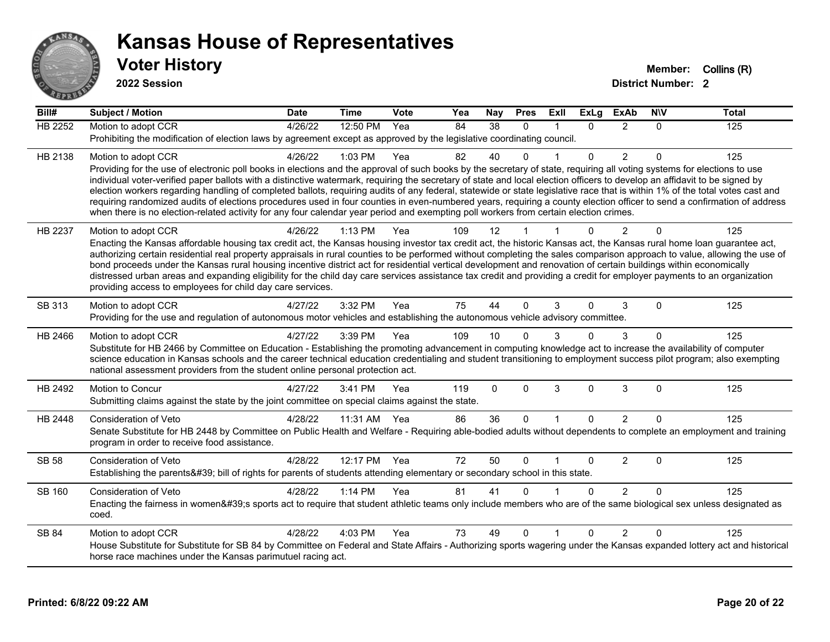

**2022 Session**

| Bill#          | <b>Subject / Motion</b>                                                                                                                                                                                                                                                                                                                                    | <b>Date</b> | <b>Time</b>  | Vote | Yea | <b>Nay</b> | <b>Pres</b>  | ExII         | <b>ExLg</b>  | <b>ExAb</b>    | <b>NIV</b> | <b>Total</b> |
|----------------|------------------------------------------------------------------------------------------------------------------------------------------------------------------------------------------------------------------------------------------------------------------------------------------------------------------------------------------------------------|-------------|--------------|------|-----|------------|--------------|--------------|--------------|----------------|------------|--------------|
| <b>HB 2252</b> | Motion to adopt CCR                                                                                                                                                                                                                                                                                                                                        | 4/26/22     | 12:50 PM     | Yea  | 84  | 38         | $\Omega$     |              | $\Omega$     | 2              | $\Omega$   | 125          |
|                | Prohibiting the modification of election laws by agreement except as approved by the legislative coordinating council.                                                                                                                                                                                                                                     |             |              |      |     |            |              |              |              |                |            |              |
| HB 2138        | Motion to adopt CCR                                                                                                                                                                                                                                                                                                                                        | 4/26/22     | 1:03 PM      | Yea  | 82  | 40         | $\Omega$     |              | $\Omega$     | $\overline{c}$ | $\Omega$   | 125          |
|                | Providing for the use of electronic poll books in elections and the approval of such books by the secretary of state, requiring all voting systems for elections to use                                                                                                                                                                                    |             |              |      |     |            |              |              |              |                |            |              |
|                | individual voter-verified paper ballots with a distinctive watermark, requiring the secretary of state and local election officers to develop an affidavit to be signed by<br>election workers regarding handling of completed ballots, requiring audits of any federal, statewide or state legislative race that is within 1% of the total votes cast and |             |              |      |     |            |              |              |              |                |            |              |
|                | requiring randomized audits of elections procedures used in four counties in even-numbered years, requiring a county election officer to send a confirmation of address                                                                                                                                                                                    |             |              |      |     |            |              |              |              |                |            |              |
|                | when there is no election-related activity for any four calendar year period and exempting poll workers from certain election crimes.                                                                                                                                                                                                                      |             |              |      |     |            |              |              |              |                |            |              |
| HB 2237        | Motion to adopt CCR                                                                                                                                                                                                                                                                                                                                        | 4/26/22     | 1:13 PM      | Yea  | 109 | 12         |              |              |              | 2              | $\Omega$   | 125          |
|                | Enacting the Kansas affordable housing tax credit act, the Kansas housing investor tax credit act, the historic Kansas act, the Kansas rural home loan guarantee act,                                                                                                                                                                                      |             |              |      |     |            |              |              |              |                |            |              |
|                | authorizing certain residential real property appraisals in rural counties to be performed without completing the sales comparison approach to value, allowing the use of                                                                                                                                                                                  |             |              |      |     |            |              |              |              |                |            |              |
|                | bond proceeds under the Kansas rural housing incentive district act for residential vertical development and renovation of certain buildings within economically<br>distressed urban areas and expanding eligibility for the child day care services assistance tax credit and providing a credit for employer payments to an organization                 |             |              |      |     |            |              |              |              |                |            |              |
|                | providing access to employees for child day care services.                                                                                                                                                                                                                                                                                                 |             |              |      |     |            |              |              |              |                |            |              |
| SB 313         | Motion to adopt CCR                                                                                                                                                                                                                                                                                                                                        | 4/27/22     | 3:32 PM      | Yea  | 75  | 44         | $\Omega$     | 3            | 0            | 3              | $\Omega$   | 125          |
|                | Providing for the use and regulation of autonomous motor vehicles and establishing the autonomous vehicle advisory committee.                                                                                                                                                                                                                              |             |              |      |     |            |              |              |              |                |            |              |
| HB 2466        | Motion to adopt CCR                                                                                                                                                                                                                                                                                                                                        | 4/27/22     | 3:39 PM      | Yea  | 109 | 10         |              | 3            | $\Omega$     | 3              | $\Omega$   | 125          |
|                | Substitute for HB 2466 by Committee on Education - Establishing the promoting advancement in computing knowledge act to increase the availability of computer                                                                                                                                                                                              |             |              |      |     |            |              |              |              |                |            |              |
|                | science education in Kansas schools and the career technical education credentialing and student transitioning to employment success pilot program; also exempting                                                                                                                                                                                         |             |              |      |     |            |              |              |              |                |            |              |
|                | national assessment providers from the student online personal protection act.                                                                                                                                                                                                                                                                             |             |              |      |     |            |              |              |              |                |            |              |
| HB 2492        | Motion to Concur                                                                                                                                                                                                                                                                                                                                           | 4/27/22     | 3:41 PM      | Yea  | 119 | $\Omega$   | $\mathbf{0}$ | 3            | $\mathbf{0}$ | 3              | $\Omega$   | 125          |
|                | Submitting claims against the state by the joint committee on special claims against the state.                                                                                                                                                                                                                                                            |             |              |      |     |            |              |              |              |                |            |              |
| HB 2448        | <b>Consideration of Veto</b>                                                                                                                                                                                                                                                                                                                               | 4/28/22     | 11:31 AM Yea |      | 86  | 36         | $\mathbf{0}$ | $\mathbf{1}$ | $\Omega$     | $\overline{2}$ | $\Omega$   | 125          |
|                | Senate Substitute for HB 2448 by Committee on Public Health and Welfare - Requiring able-bodied adults without dependents to complete an employment and training                                                                                                                                                                                           |             |              |      |     |            |              |              |              |                |            |              |
|                | program in order to receive food assistance.                                                                                                                                                                                                                                                                                                               |             |              |      |     |            |              |              |              |                |            |              |
| SB 58          | Consideration of Veto                                                                                                                                                                                                                                                                                                                                      | 4/28/22     | 12:17 PM Yea |      | 72  | 50         | $\mathbf{0}$ |              | $\mathbf{0}$ | 2              | $\Omega$   | 125          |
|                | Establishing the parents' bill of rights for parents of students attending elementary or secondary school in this state.                                                                                                                                                                                                                                   |             |              |      |     |            |              |              |              |                |            |              |
| SB 160         | <b>Consideration of Veto</b>                                                                                                                                                                                                                                                                                                                               | 4/28/22     | $1:14$ PM    | Yea  | 81  | 41         | $\Omega$     |              | $\Omega$     | 2              | $\Omega$   | 125          |
|                | Enacting the fairness in women's sports act to require that student athletic teams only include members who are of the same biological sex unless designated as<br>coed.                                                                                                                                                                                   |             |              |      |     |            |              |              |              |                |            |              |
| SB 84          | Motion to adopt CCR                                                                                                                                                                                                                                                                                                                                        | 4/28/22     | 4:03 PM      | Yea  | 73  | 49         | $\Omega$     |              | $\Omega$     | 2              | $\Omega$   | 125          |
|                | House Substitute for Substitute for SB 84 by Committee on Federal and State Affairs - Authorizing sports wagering under the Kansas expanded lottery act and historical                                                                                                                                                                                     |             |              |      |     |            |              |              |              |                |            |              |
|                | horse race machines under the Kansas parimutuel racing act.                                                                                                                                                                                                                                                                                                |             |              |      |     |            |              |              |              |                |            |              |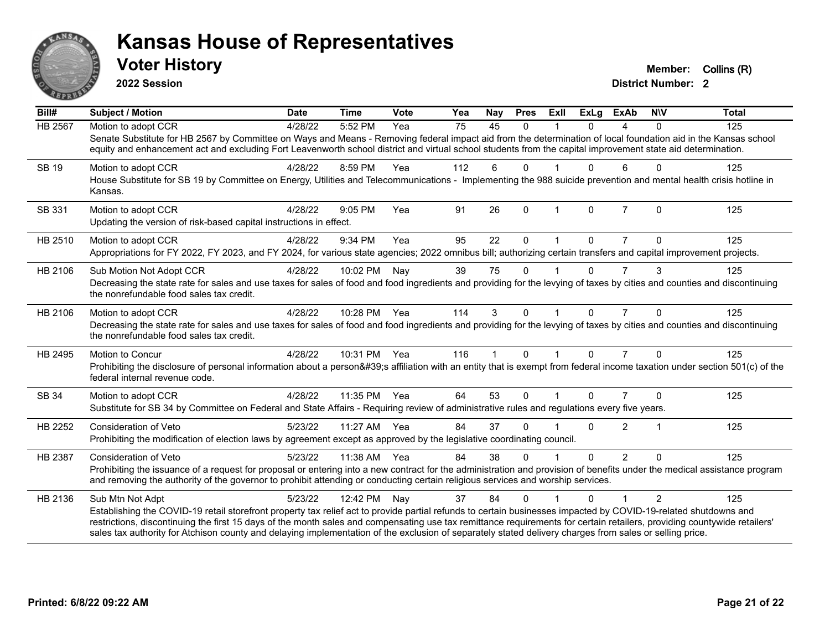

**2022 Session**

**District Number: 2 Voter History Member:** Collins (R)

| 45<br>HB 2567<br>Motion to adopt CCR<br>5:52 PM<br>75<br>4/28/22<br>Yea<br>$\Omega$<br>$\Omega$<br>4<br>$\mathbf{0}$<br>Senate Substitute for HB 2567 by Committee on Ways and Means - Removing federal impact aid from the determination of local foundation aid in the Kansas school<br>equity and enhancement act and excluding Fort Leavenworth school district and virtual school students from the capital improvement state aid determination.<br>8:59 PM<br>112<br>6<br>6<br>$\Omega$<br>SB 19<br>Motion to adopt CCR<br>4/28/22<br>Yea<br>$\Omega$<br>0<br>House Substitute for SB 19 by Committee on Energy, Utilities and Telecommunications - Implementing the 988 suicide prevention and mental health crisis hotline in<br>Kansas.<br>26<br>$\overline{7}$<br>SB 331<br>Motion to adopt CCR<br>4/28/22<br>$9:05$ PM<br>Yea<br>91<br>$\Omega$<br>$\Omega$<br>$\Omega$<br>$\overline{1}$<br>Updating the version of risk-based capital instructions in effect.<br>HB 2510<br>9:34 PM<br>95<br>22<br>0<br>Motion to adopt CCR<br>4/28/22<br>Yea<br>0<br>$\Omega$<br>Appropriations for FY 2022, FY 2023, and FY 2024, for various state agencies; 2022 omnibus bill; authorizing certain transfers and capital improvement projects.<br>75<br>10:02 PM<br>39<br>$\overline{7}$<br>3<br>HB 2106<br>4/28/22<br>Nay<br>$\Omega$<br>0<br>Sub Motion Not Adopt CCR<br>Decreasing the state rate for sales and use taxes for sales of food and food ingredients and providing for the levying of taxes by cities and counties and discontinuing<br>the nonrefundable food sales tax credit.<br>10:28 PM Yea<br>4/28/22<br>114<br>3<br>HB 2106<br>Motion to adopt CCR<br>$\Omega$<br>$\Omega$<br>$\overline{7}$<br>$\Omega$ | 125 |
|---------------------------------------------------------------------------------------------------------------------------------------------------------------------------------------------------------------------------------------------------------------------------------------------------------------------------------------------------------------------------------------------------------------------------------------------------------------------------------------------------------------------------------------------------------------------------------------------------------------------------------------------------------------------------------------------------------------------------------------------------------------------------------------------------------------------------------------------------------------------------------------------------------------------------------------------------------------------------------------------------------------------------------------------------------------------------------------------------------------------------------------------------------------------------------------------------------------------------------------------------------------------------------------------------------------------------------------------------------------------------------------------------------------------------------------------------------------------------------------------------------------------------------------------------------------------------------------------------------------------------------------------------------------------------------------------------------------------------------|-----|
|                                                                                                                                                                                                                                                                                                                                                                                                                                                                                                                                                                                                                                                                                                                                                                                                                                                                                                                                                                                                                                                                                                                                                                                                                                                                                                                                                                                                                                                                                                                                                                                                                                                                                                                                 |     |
|                                                                                                                                                                                                                                                                                                                                                                                                                                                                                                                                                                                                                                                                                                                                                                                                                                                                                                                                                                                                                                                                                                                                                                                                                                                                                                                                                                                                                                                                                                                                                                                                                                                                                                                                 |     |
|                                                                                                                                                                                                                                                                                                                                                                                                                                                                                                                                                                                                                                                                                                                                                                                                                                                                                                                                                                                                                                                                                                                                                                                                                                                                                                                                                                                                                                                                                                                                                                                                                                                                                                                                 | 125 |
|                                                                                                                                                                                                                                                                                                                                                                                                                                                                                                                                                                                                                                                                                                                                                                                                                                                                                                                                                                                                                                                                                                                                                                                                                                                                                                                                                                                                                                                                                                                                                                                                                                                                                                                                 |     |
|                                                                                                                                                                                                                                                                                                                                                                                                                                                                                                                                                                                                                                                                                                                                                                                                                                                                                                                                                                                                                                                                                                                                                                                                                                                                                                                                                                                                                                                                                                                                                                                                                                                                                                                                 | 125 |
|                                                                                                                                                                                                                                                                                                                                                                                                                                                                                                                                                                                                                                                                                                                                                                                                                                                                                                                                                                                                                                                                                                                                                                                                                                                                                                                                                                                                                                                                                                                                                                                                                                                                                                                                 |     |
|                                                                                                                                                                                                                                                                                                                                                                                                                                                                                                                                                                                                                                                                                                                                                                                                                                                                                                                                                                                                                                                                                                                                                                                                                                                                                                                                                                                                                                                                                                                                                                                                                                                                                                                                 | 125 |
|                                                                                                                                                                                                                                                                                                                                                                                                                                                                                                                                                                                                                                                                                                                                                                                                                                                                                                                                                                                                                                                                                                                                                                                                                                                                                                                                                                                                                                                                                                                                                                                                                                                                                                                                 |     |
|                                                                                                                                                                                                                                                                                                                                                                                                                                                                                                                                                                                                                                                                                                                                                                                                                                                                                                                                                                                                                                                                                                                                                                                                                                                                                                                                                                                                                                                                                                                                                                                                                                                                                                                                 | 125 |
|                                                                                                                                                                                                                                                                                                                                                                                                                                                                                                                                                                                                                                                                                                                                                                                                                                                                                                                                                                                                                                                                                                                                                                                                                                                                                                                                                                                                                                                                                                                                                                                                                                                                                                                                 |     |
|                                                                                                                                                                                                                                                                                                                                                                                                                                                                                                                                                                                                                                                                                                                                                                                                                                                                                                                                                                                                                                                                                                                                                                                                                                                                                                                                                                                                                                                                                                                                                                                                                                                                                                                                 | 125 |
| Decreasing the state rate for sales and use taxes for sales of food and food ingredients and providing for the levying of taxes by cities and counties and discontinuing<br>the nonrefundable food sales tax credit.                                                                                                                                                                                                                                                                                                                                                                                                                                                                                                                                                                                                                                                                                                                                                                                                                                                                                                                                                                                                                                                                                                                                                                                                                                                                                                                                                                                                                                                                                                            |     |
| 10:31 PM<br>116<br>$\Omega$<br>$\Omega$<br>$\overline{7}$<br>$\Omega$<br>4/28/22<br>Yea<br>HB 2495<br>Motion to Concur<br>$\mathbf 1$                                                                                                                                                                                                                                                                                                                                                                                                                                                                                                                                                                                                                                                                                                                                                                                                                                                                                                                                                                                                                                                                                                                                                                                                                                                                                                                                                                                                                                                                                                                                                                                           | 125 |
| Prohibiting the disclosure of personal information about a person's affiliation with an entity that is exempt from federal income taxation under section 501(c) of the<br>federal internal revenue code.                                                                                                                                                                                                                                                                                                                                                                                                                                                                                                                                                                                                                                                                                                                                                                                                                                                                                                                                                                                                                                                                                                                                                                                                                                                                                                                                                                                                                                                                                                                        |     |
| 64<br>53<br>4/28/22<br>11:35 PM<br>Yea<br>$\Omega$<br>0<br>$\Omega$<br>SB 34<br>Motion to adopt CCR                                                                                                                                                                                                                                                                                                                                                                                                                                                                                                                                                                                                                                                                                                                                                                                                                                                                                                                                                                                                                                                                                                                                                                                                                                                                                                                                                                                                                                                                                                                                                                                                                             | 125 |
| Substitute for SB 34 by Committee on Federal and State Affairs - Requiring review of administrative rules and regulations every five years.                                                                                                                                                                                                                                                                                                                                                                                                                                                                                                                                                                                                                                                                                                                                                                                                                                                                                                                                                                                                                                                                                                                                                                                                                                                                                                                                                                                                                                                                                                                                                                                     |     |
| HB 2252<br>5/23/22<br>11:27 AM<br>37<br>$\overline{2}$<br>Consideration of Veto<br>Yea<br>84<br>0<br>$\overline{\mathbf{1}}$<br>0                                                                                                                                                                                                                                                                                                                                                                                                                                                                                                                                                                                                                                                                                                                                                                                                                                                                                                                                                                                                                                                                                                                                                                                                                                                                                                                                                                                                                                                                                                                                                                                               | 125 |
| Prohibiting the modification of election laws by agreement except as approved by the legislative coordinating council.                                                                                                                                                                                                                                                                                                                                                                                                                                                                                                                                                                                                                                                                                                                                                                                                                                                                                                                                                                                                                                                                                                                                                                                                                                                                                                                                                                                                                                                                                                                                                                                                          |     |
| 84<br>38<br>$\Omega$<br>$\overline{2}$<br>$\Omega$<br>HB 2387<br>5/23/22<br>11:38 AM<br>Yea<br>$\Omega$<br>Consideration of Veto                                                                                                                                                                                                                                                                                                                                                                                                                                                                                                                                                                                                                                                                                                                                                                                                                                                                                                                                                                                                                                                                                                                                                                                                                                                                                                                                                                                                                                                                                                                                                                                                | 125 |
| Prohibiting the issuance of a request for proposal or entering into a new contract for the administration and provision of benefits under the medical assistance program<br>and removing the authority of the governor to prohibit attending or conducting certain religious services and worship services.                                                                                                                                                                                                                                                                                                                                                                                                                                                                                                                                                                                                                                                                                                                                                                                                                                                                                                                                                                                                                                                                                                                                                                                                                                                                                                                                                                                                                     |     |
| 5/23/22<br>84<br>2<br>HB 2136<br>Sub Mtn Not Adpt<br>12:42 PM<br>37<br>$\Omega$<br>$\Omega$<br>Nay                                                                                                                                                                                                                                                                                                                                                                                                                                                                                                                                                                                                                                                                                                                                                                                                                                                                                                                                                                                                                                                                                                                                                                                                                                                                                                                                                                                                                                                                                                                                                                                                                              | 125 |
| Establishing the COVID-19 retail storefront property tax relief act to provide partial refunds to certain businesses impacted by COVID-19-related shutdowns and<br>restrictions, discontinuing the first 15 days of the month sales and compensating use tax remittance requirements for certain retailers, providing countywide retailers'<br>sales tax authority for Atchison county and delaying implementation of the exclusion of separately stated delivery charges from sales or selling price.                                                                                                                                                                                                                                                                                                                                                                                                                                                                                                                                                                                                                                                                                                                                                                                                                                                                                                                                                                                                                                                                                                                                                                                                                          |     |